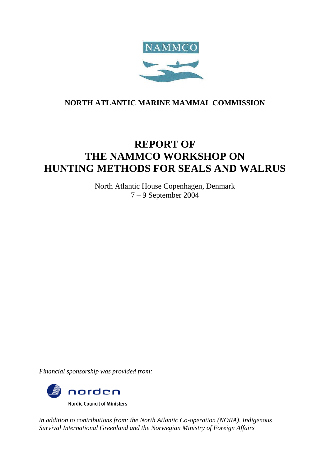

# **NORTH ATLANTIC MARINE MAMMAL COMMISSION**

# **REPORT OF THE NAMMCO WORKSHOP ON HUNTING METHODS FOR SEALS AND WALRUS**

North Atlantic House Copenhagen, Denmark 7 – 9 September 2004

*Financial sponsorship was provided from:* 



*in addition to contributions from: the North Atlantic Co-operation (NORA), Indigenous Survival International Greenland and the Norwegian Ministry of Foreign Affairs*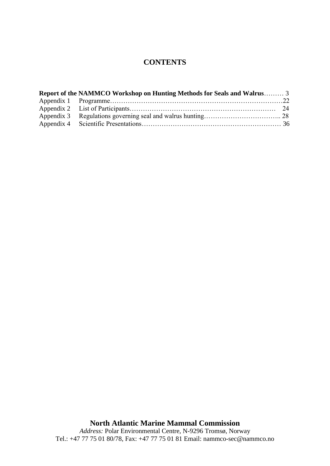# **CONTENTS**

| Report of the NAMMCO Workshop on Hunting Methods for Seals and Walrus 3 |  |
|-------------------------------------------------------------------------|--|
|                                                                         |  |
|                                                                         |  |
|                                                                         |  |
|                                                                         |  |

**North Atlantic Marine Mammal Commission** *Address:* Polar Environmental Centre, N-9296 Tromsø, Norway Tel.: +47 77 75 01 80/78, Fax: +47 77 75 01 81 Email: nammco-sec@nammco.no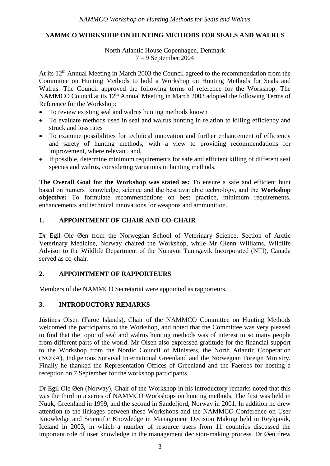## **NAMMCO WORKSHOP ON HUNTING METHODS FOR SEALS AND WALRUS**

## North Atlantic House Copenhagen, Denmark 7 – 9 September 2004

At its 12<sup>th</sup> Annual Meeting in March 2003 the Council agreed to the recommendation from the Committee on Hunting Methods to hold a Workshop on Hunting Methods for Seals and Walrus. The Council approved the following terms of reference for the Workshop: The NAMMCO Council at its 12<sup>th</sup> Annual Meeting in March 2003 adopted the following Terms of Reference for the Workshop:

- To review existing seal and walrus hunting methods known
- To evaluate methods used in seal and walrus hunting in relation to killing efficiency and struck and loss rates
- To examine possibilities for technical innovation and further enhancement of efficiency and safety of hunting methods, with a view to providing recommendations for improvement, where relevant, and,
- If possible, determine minimum requirements for safe and efficient killing of different seal species and walrus, considering variations in hunting methods.

**The Overall Goal for the Workshop was stated as:** To ensure a safe and efficient hunt based on hunters' knowledge, science and the best available technology, and the **Workshop objective:** To formulate recommendations on best practice, minimum requirements, enhancements and technical innovations for weapons and ammunition.

## **1. APPOINTMENT OF CHAIR AND CO-CHAIR**

Dr Egil Ole Øen from the Norwegian School of Veterinary Science, Section of Arctic Veterinary Medicine, Norway chaired the Workshop, while Mr Glenn Williams, Wildlife Advisor to the Wildlife Department of the Nunavut Tunngavik Incorporated (NTI), Canada served as co-chair.

## **2. APPOINTMENT OF RAPPORTEURS**

Members of the NAMMCO Secretariat were appointed as rapporteurs.

## **3. INTRODUCTORY REMARKS**

Jústines Olsen (Faroe Islands)**,** Chair of the NAMMCO Committee on Hunting Methods welcomed the participants to the Workshop, and noted that the Committee was very pleased to find that the topic of seal and walrus hunting methods was of interest to so many people from different parts of the world. Mr Olsen also expressed gratitude for the financial support to the Workshop from the Nordic Council of Ministers, the North Atlantic Cooperation (NORA), Indigenous Survival International Greenland and the Norwegian Foreign Ministry. Finally he thanked the Representation Offices of Greenland and the Faeroes for hosting a reception on 7 September for the workshop participants.

Dr Egil Ole Øen (Norway), Chair of the Workshop in his introductory remarks noted that this was the third in a series of NAMMCO Workshops on hunting methods. The first was held in Nuuk, Greenland in 1999, and the second in Sandefjord, Norway in 2001. In addition he drew attention to the linkages between these Workshops and the NAMMCO Conference on User Knowledge and Scientific Knowledge in Management Decision Making held in Reykjavik, Iceland in 2003, in which a number of resource users from 11 countries discussed the important role of user knowledge in the management decision-making process. Dr Øen drew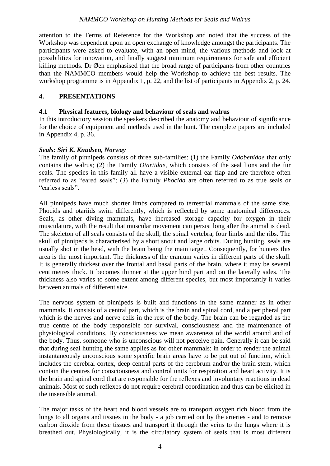attention to the Terms of Reference for the Workshop and noted that the success of the Workshop was dependent upon an open exchange of knowledge amongst the participants. The participants were asked to evaluate, with an open mind, the various methods and look at possibilities for innovation, and finally suggest minimum requirements for safe and efficient killing methods. Dr Øen emphasised that the broad range of participants from other countries than the NAMMCO members would help the Workshop to achieve the best results. The workshop programme is in Appendix 1, p. 22, and the list of participants in Appendix 2, p. 24.

## **4. PRESENTATIONS**

## **4.1 Physical features, biology and behaviour of seals and walrus**

In this introductory session the speakers described the anatomy and behaviour of significance for the choice of equipment and methods used in the hunt. The complete papers are included in Appendix 4, p. 36.

## *Seals: Siri K. Knudsen, Norway*

The family of pinnipeds consists of three sub-families: (1) the Family *Odobenidae* that only contains the walrus; (2) the Family *Otariidae*, which consists of the seal lions and the fur seals. The species in this family all have a visible external ear flap and are therefore often referred to as "eared seals"; (3) the Family *Phocida* are often referred to as true seals or "earless seals".

All pinnipeds have much shorter limbs compared to terrestrial mammals of the same size. Phocids and otariids swim differently, which is reflected by some anatomical differences. Seals, as other diving mammals, have increased storage capacity for oxygen in their musculature, with the result that muscular movement can persist long after the animal is dead. The skeleton of all seals consists of the skull, the spinal vertebra, four limbs and the ribs. The skull of pinnipeds is characterised by a short snout and large orbits. During hunting, seals are usually shot in the head, with the brain being the main target. Consequently, for hunters this area is the most important. The thickness of the cranium varies in different parts of the skull. It is generally thickest over the frontal and basal parts of the brain, where it may be several centimetres thick. It becomes thinner at the upper hind part and on the laterally sides. The thickness also varies to some extent among different species, but most importantly it varies between animals of different size.

The nervous system of pinnipeds is built and functions in the same manner as in other mammals. It consists of a central part, which is the brain and spinal cord, and a peripheral part which is the nerves and nerve cells in the rest of the body. The brain can be regarded as the true centre of the body responsible for survival, consciousness and the maintenance of physiological conditions. By consciousness we mean awareness of the world around and of the body. Thus, someone who is unconscious will not perceive pain. Generally it can be said that during seal hunting the same applies as for other mammals: in order to render the animal instantaneously unconscious some specific brain areas have to be put out of function, which includes the cerebral cortex, deep central parts of the cerebrum and/or the brain stem, which contain the centres for consciousness and control units for respiration and heart activity. It is the brain and spinal cord that are responsible for the reflexes and involuntary reactions in dead animals. Most of such reflexes do not require cerebral coordination and thus can be elicited in the insensible animal.

The major tasks of the heart and blood vessels are to transport oxygen rich blood from the lungs to all organs and tissues in the body - a job carried out by the arteries - and to remove carbon dioxide from these tissues and transport it through the veins to the lungs where it is breathed out. Physiologically, it is the circulatory system of seals that is most different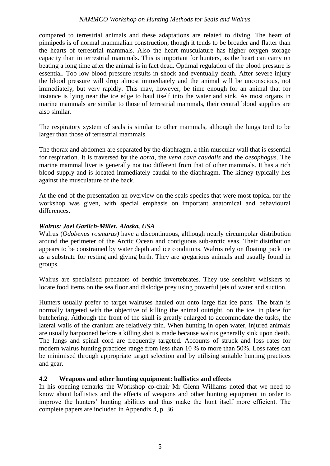compared to terrestrial animals and these adaptations are related to diving. The heart of pinnipeds is of normal mammalian construction, though it tends to be broader and flatter than the hearts of terrestrial mammals. Also the heart musculature has higher oxygen storage capacity than in terrestrial mammals. This is important for hunters, as the heart can carry on beating a long time after the animal is in fact dead. Optimal regulation of the blood pressure is essential. Too low blood pressure results in shock and eventually death. After severe injury the blood pressure will drop almost immediately and the animal will be unconscious, not immediately, but very rapidly. This may, however, be time enough for an animal that for instance is lying near the ice edge to haul itself into the water and sink. As most organs in marine mammals are similar to those of terrestrial mammals, their central blood supplies are also similar.

The respiratory system of seals is similar to other mammals, although the lungs tend to be larger than those of terrestrial mammals.

The thorax and abdomen are separated by the diaphragm, a thin muscular wall that is essential for respiration. It is traversed by the *aorta*, the *vena cava caudalis* and the *oesophagus*. The marine mammal liver is generally not too different from that of other mammals. It has a rich blood supply and is located immediately caudal to the diaphragm. The kidney typically lies against the musculature of the back.

At the end of the presentation an overview on the seals species that were most topical for the workshop was given, with special emphasis on important anatomical and behavioural differences.

#### *Walrus: Joel Garlich-Miller, Alaska, USA*

Walrus (*Odobenus rosmarus)* have a discontinuous, although nearly circumpolar distribution around the perimeter of the Arctic Ocean and contiguous sub-arctic seas. Their distribution appears to be constrained by water depth and ice conditions. Walrus rely on floating pack ice as a substrate for resting and giving birth. They are gregarious animals and usually found in groups.

Walrus are specialised predators of benthic invertebrates. They use sensitive whiskers to locate food items on the sea floor and dislodge prey using powerful jets of water and suction.

Hunters usually prefer to target walruses hauled out onto large flat ice pans. The brain is normally targeted with the objective of killing the animal outright, on the ice, in place for butchering. Although the front of the skull is greatly enlarged to accommodate the tusks, the lateral walls of the cranium are relatively thin. When hunting in open water, injured animals are usually harpooned before a killing shot is made because walrus generally sink upon death. The lungs and spinal cord are frequently targeted. Accounts of struck and loss rates for modern walrus hunting practices range from less than 10 % to more than 50%. Loss rates can be minimised through appropriate target selection and by utilising suitable hunting practices and gear.

## **4.2 Weapons and other hunting equipment: ballistics and effects**

In his opening remarks the Workshop co-chair Mr Glenn Williams noted that we need to know about ballistics and the effects of weapons and other hunting equipment in order to improve the hunters' hunting abilities and thus make the hunt itself more efficient. The complete papers are included in Appendix 4, p. 36.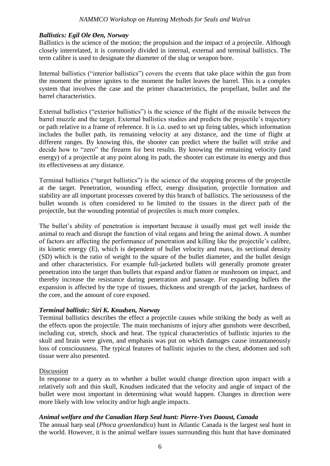## *Ballistics: Egil Ole Øen, Norway*

Ballistics is the science of the motion; the propulsion and the impact of a projectile. Although closely interrelated, it is commonly divided in internal, external and terminal ballistics. The term calibre is used to designate the diameter of the slug or weapon bore.

Internal ballistics ("interior ballistics") covers the events that take place within the gun from the moment the primer ignites to the moment the bullet leaves the barrel. This is a complex system that involves the case and the primer characteristics, the propellant, bullet and the barrel characteristics.

External ballistics ("exterior ballistics") is the science of the flight of the missile between the barrel muzzle and the target. External ballistics studies and predicts the projectile's trajectory or path relative to a frame of reference. It is *i.a*. used to set up firing tables, which information includes the bullet path, its remaining velocity at any distance, and the time of flight at different ranges. By knowing this, the shooter can predict where the bullet will strike and decide how to "zero" the firearm for best results. By knowing the remaining velocity (and energy) of a projectile at any point along its path, the shooter can estimate its energy and thus its effectiveness at any distance.

Terminal ballistics ("target ballistics") is the science of the stopping process of the projectile at the target. Penetration, wounding effect, energy dissipation, projectile formation and stability are all important processes covered by this branch of ballistics. The seriousness of the bullet wounds is often considered to be limited to the tissues in the direct path of the projectile, but the wounding potential of projectiles is much more complex.

The bullet's ability of penetration is important because it usually must get well inside the animal to reach and disrupt the function of vital organs and bring the animal down. A number of factors are affecting the performance of penetration and killing like the projectile's calibre, its kinetic energy (E), which is dependent of bullet velocity and mass, its sectional density (SD) which is the ratio of weight to the square of the bullet diameter, and the bullet design and other characteristics. For example full-jacketed bullets will generally promote greater penetration into the target than bullets that expand and/or flatten or mushroom on impact, and thereby increase the resistance during penetration and passage. For expanding bullets the expansion is affected by the type of tissues, thickness and strength of the jacket, hardness of the core, and the amount of core exposed.

#### *Terminal ballistic: Siri K. Knudsen, Norway*

Terminal ballistics describes the effect a projectile causes while striking the body as well as the effects upon the projectile. The main mechanisms of injury after gunshots were described, including cut, stretch, shock and heat. The typical characteristics of ballistic injuries to the skull and brain were given, and emphasis was put on which damages cause instantaneously loss of consciousness. The typical features of ballistic injuries to the chest, abdomen and soft tissue were also presented.

#### Discussion

In response to a query as to whether a bullet would change direction upon impact with a relatively soft and thin skull, Knudsen indicated that the velocity and angle of impact of the bullet were most important in determining what would happen. Changes in direction were more likely with low velocity and/or high angle impacts.

## *Animal welfare and the Canadian Harp Seal hunt: Pierre-Yves Daoust, Canada*

The annual harp seal (*Phoca groenlandica*) hunt in Atlantic Canada is the largest seal hunt in the world. However, it is the animal welfare issues surrounding this hunt that have dominated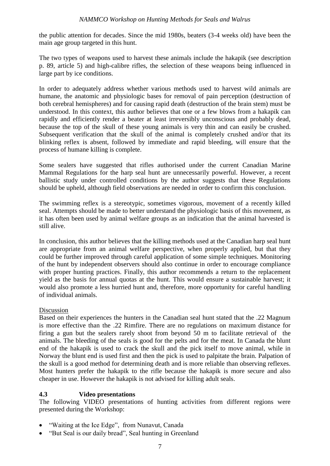the public attention for decades. Since the mid 1980s, beaters (3-4 weeks old) have been the main age group targeted in this hunt.

The two types of weapons used to harvest these animals include the hakapik (see description p. 89, article 5) and high-calibre rifles, the selection of these weapons being influenced in large part by ice conditions.

In order to adequately address whether various methods used to harvest wild animals are humane, the anatomic and physiologic bases for removal of pain perception (destruction of both cerebral hemispheres) and for causing rapid death (destruction of the brain stem) must be understood. In this context, this author believes that one or a few blows from a hakapik can rapidly and efficiently render a beater at least irreversibly unconscious and probably dead, because the top of the skull of these young animals is very thin and can easily be crushed. Subsequent verification that the skull of the animal is completely crushed and/or that its blinking reflex is absent, followed by immediate and rapid bleeding, will ensure that the process of humane killing is complete.

Some sealers have suggested that rifles authorised under the current Canadian Marine Mammal Regulations for the harp seal hunt are unnecessarily powerful. However, a recent ballistic study under controlled conditions by the author suggests that these Regulations should be upheld, although field observations are needed in order to confirm this conclusion.

The swimming reflex is a stereotypic, sometimes vigorous, movement of a recently killed seal. Attempts should be made to better understand the physiologic basis of this movement, as it has often been used by animal welfare groups as an indication that the animal harvested is still alive.

In conclusion, this author believes that the killing methods used at the Canadian harp seal hunt are appropriate from an animal welfare perspective, when properly applied, but that they could be further improved through careful application of some simple techniques. Monitoring of the hunt by independent observers should also continue in order to encourage compliance with proper hunting practices. Finally, this author recommends a return to the replacement yield as the basis for annual quotas at the hunt. This would ensure a sustainable harvest; it would also promote a less hurried hunt and, therefore, more opportunity for careful handling of individual animals.

## Discussion

Based on their experiences the hunters in the Canadian seal hunt stated that the .22 Magnum is more effective than the .22 Rimfire. There are no regulations on maximum distance for firing a gun but the sealers rarely shoot from beyond 50 m to facilitate retrieval of the animals. The bleeding of the seals is good for the pelts and for the meat. In Canada the blunt end of the hakapik is used to crack the skull and the pick itself to move animal, while in Norway the blunt end is used first and then the pick is used to palpitate the brain. Palpation of the skull is a good method for determining death and is more reliable than observing reflexes. Most hunters prefer the hakapik to the rifle because the hakapik is more secure and also cheaper in use. However the hakapik is not advised for killing adult seals.

## **4.3 Video presentations**

The following VIDEO presentations of hunting activities from different regions were presented during the Workshop:

- "Waiting at the Ice Edge", from Nunavut, Canada
- "But Seal is our daily bread", Seal hunting in Greenland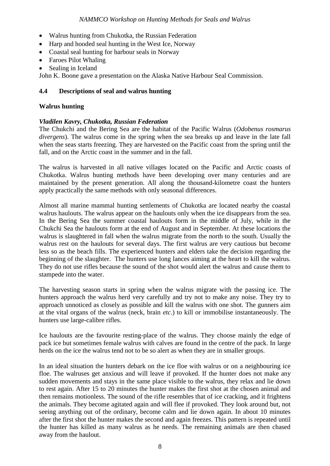- Walrus hunting from Chukotka, the Russian Federation
- Harp and hooded seal hunting in the West Ice, Norway
- Coastal seal hunting for harbour seals in Norway
- Faroes Pilot Whaling
- Sealing in Iceland

John K. Boone gave a presentation on the Alaska Native Harbour Seal Commission.

## **4.4 Descriptions of seal and walrus hunting**

## **Walrus hunting**

## *Vladilen Kavry, Chukotka, Russian Federation*

The Chukchi and the Bering Sea are the habitat of the Pacific Walrus (*Odobenus rosmarus divergens*). The walrus come in the spring when the sea breaks up and leave in the late fall when the seas starts freezing. They are harvested on the Pacific coast from the spring until the fall, and on the Arctic coast in the summer and in the fall.

The walrus is harvested in all native villages located on the Pacific and Arctic coasts of Chukotka. Walrus hunting methods have been developing over many centuries and are maintained by the present generation. All along the thousand-kilometre coast the hunters apply practically the same methods with only seasonal differences.

Almost all marine mammal hunting settlements of Chukotka are located nearby the coastal walrus haulouts. The walrus appear on the haulouts only when the ice disappears from the sea. In the Bering Sea the summer coastal haulouts form in the middle of July, while in the Chukchi Sea the haulouts form at the end of August and in September. At these locations the walrus is slaughtered in fall when the walrus migrate from the north to the south. Usually the walrus rest on the haulouts for several days. The first walrus are very cautious but become less so as the beach fills. The experienced hunters and elders take the decision regarding the beginning of the slaughter. The hunters use long lances aiming at the heart to kill the walrus. They do not use rifles because the sound of the shot would alert the walrus and cause them to stampede into the water.

The harvesting season starts in spring when the walrus migrate with the passing ice. The hunters approach the walrus herd very carefully and try not to make any noise. They try to approach unnoticed as closely as possible and kill the walrus with one shot. The gunners aim at the vital organs of the walrus (neck, brain *etc*.) to kill or immobilise instantaneously. The hunters use large-calibre rifles.

Ice haulouts are the favourite resting-place of the walrus. They choose mainly the edge of pack ice but sometimes female walrus with calves are found in the centre of the pack. In large herds on the ice the walrus tend not to be so alert as when they are in smaller groups.

In an ideal situation the hunters debark on the ice floe with walrus or on a neighbouring ice floe. The walruses get anxious and will leave if provoked. If the hunter does not make any sudden movements and stays in the same place visible to the walrus, they relax and lie down to rest again. After 15 to 20 minutes the hunter makes the first shot at the chosen animal and then remains motionless. The sound of the rifle resembles that of ice cracking, and it frightens the animals. They become agitated again and will flee if provoked. They look around but, not seeing anything out of the ordinary, become calm and lie down again. In about 10 minutes after the first shot the hunter makes the second and again freezes. This pattern is repeated until the hunter has killed as many walrus as he needs. The remaining animals are then chased away from the haulout.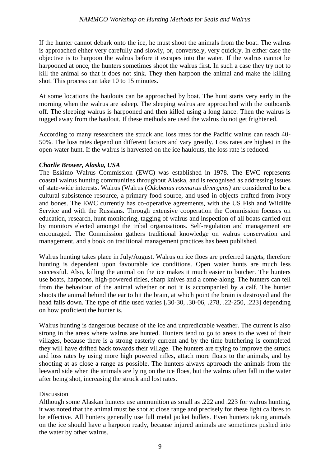If the hunter cannot debark onto the ice, he must shoot the animals from the boat. The walrus is approached either very carefully and slowly, or, conversely, very quickly. In either case the objective is to harpoon the walrus before it escapes into the water. If the walrus cannot be harpooned at once, the hunters sometimes shoot the walrus first. In such a case they try not to kill the animal so that it does not sink. They then harpoon the animal and make the killing shot. This process can take 10 to 15 minutes.

At some locations the haulouts can be approached by boat. The hunt starts very early in the morning when the walrus are asleep. The sleeping walrus are approached with the outboards off. The sleeping walrus is harpooned and then killed using a long lance. Then the walrus is tugged away from the haulout. If these methods are used the walrus do not get frightened.

According to many researchers the struck and loss rates for the Pacific walrus can reach 40- 50%. The loss rates depend on different factors and vary greatly. Loss rates are highest in the open-water hunt. If the walrus is harvested on the ice haulouts, the loss rate is reduced.

## *Charlie Brower, Alaska, USA*

The Eskimo Walrus Commission (EWC) was established in 1978. The EWC represents coastal walrus hunting communities throughout Alaska, and is recognised as addressing issues of state-wide interests. Walrus (Walrus (*Odobenus rosmarus divergens)* are considered to be a cultural subsistence resource, a primary food source, and used in objects crafted from ivory and bones. The EWC currently has co-operative agreements, with the US Fish and Wildlife Service and with the Russians. Through extensive cooperation the Commission focuses on education, research, hunt monitoring, tagging of walrus and inspection of all boats carried out by monitors elected amongst the tribal organisations. Self-regulation and management are encouraged. The Commission gathers traditional knowledge on walrus conservation and management, and a book on traditional management practices has been published.

Walrus hunting takes place in July/August. Walrus on ice floes are preferred targets, therefore hunting is dependent upon favourable ice conditions. Open water hunts are much less successful. Also, killing the animal on the ice makes it much easier to butcher. The hunters use boats, harpoons, high-powered rifles, sharp knives and a come-along. The hunters can tell from the behaviour of the animal whether or not it is accompanied by a calf. The hunter shoots the animal behind the ear to hit the brain, at which point the brain is destroyed and the head falls down. The type of rifle used varies **[.**30-30, .30-06, .278, .22-250, .223] depending on how proficient the hunter is.

Walrus hunting is dangerous because of the ice and unpredictable weather. The current is also strong in the areas where walrus are hunted. Hunters tend to go to areas to the west of their villages, because there is a strong easterly current and by the time butchering is completed they will have drifted back towards their village. The hunters are trying to improve the struck and loss rates by using more high powered rifles, attach more floats to the animals, and by shooting at as close a range as possible. The hunters always approach the animals from the leeward side when the animals are lying on the ice floes, but the walrus often fall in the water after being shot, increasing the struck and lost rates.

## Discussion

Although some Alaskan hunters use ammunition as small as .222 and .223 for walrus hunting, it was noted that the animal must be shot at close range and precisely for these light calibres to be effective. All hunters generally use full metal jacket bullets. Even hunters taking animals on the ice should have a harpoon ready, because injured animals are sometimes pushed into the water by other walrus.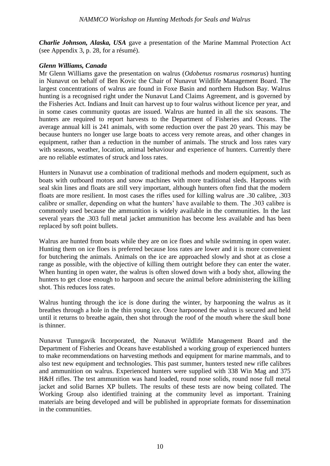*Charlie Johnson, Alaska, USA* gave a presentation of the Marine Mammal Protection Act (see Appendix 3, p. 28, for a résumé).

## *Glenn Williams, Canada*

Mr Glenn Williams gave the presentation on walrus (*Odobenus rosmarus rosmarus*) hunting in Nunavut on behalf of Ben Kovic the Chair of Nunavut Wildlife Management Board. The largest concentrations of walrus are found in Foxe Basin and northern Hudson Bay. Walrus hunting is a recognised right under the Nunavut Land Claims Agreement, and is governed by the Fisheries Act. Indians and Inuit can harvest up to four walrus without licence per year, and in some cases community quotas are issued. Walrus are hunted in all the six seasons. The hunters are required to report harvests to the Department of Fisheries and Oceans. The average annual kill is 241 animals, with some reduction over the past 20 years. This may be because hunters no longer use large boats to access very remote areas, and other changes in equipment, rather than a reduction in the number of animals. The struck and loss rates vary with seasons, weather, location, animal behaviour and experience of hunters. Currently there are no reliable estimates of struck and loss rates.

Hunters in Nunavut use a combination of traditional methods and modern equipment, such as boats with outboard motors and snow machines with more traditional sleds. Harpoons with seal skin lines and floats are still very important, although hunters often find that the modern floats are more resilient. In most cases the rifles used for killing walrus are .30 calibre, .303 calibre or smaller, depending on what the hunters' have available to them. The .303 calibre is commonly used because the ammunition is widely available in the communities. In the last several years the .303 full metal jacket ammunition has become less available and has been replaced by soft point bullets.

Walrus are hunted from boats while they are on ice floes and while swimming in open water. Hunting them on ice floes is preferred because loss rates are lower and it is more convenient for butchering the animals. Animals on the ice are approached slowly and shot at as close a range as possible, with the objective of killing them outright before they can enter the water. When hunting in open water, the walrus is often slowed down with a body shot, allowing the hunters to get close enough to harpoon and secure the animal before administering the killing shot. This reduces loss rates.

Walrus hunting through the ice is done during the winter, by harpooning the walrus as it breathes through a hole in the thin young ice. Once harpooned the walrus is secured and held until it returns to breathe again, then shot through the roof of the mouth where the skull bone is thinner.

Nunavut Tunngavik Incorporated, the Nunavut Wildlife Management Board and the Department of Fisheries and Oceans have established a working group of experienced hunters to make recommendations on harvesting methods and equipment for marine mammals, and to also test new equipment and technologies. This past summer, hunters tested new rifle calibres and ammunition on walrus. Experienced hunters were supplied with 338 Win Mag and 375 H&H rifles. The test ammunition was hand loaded, round nose solids, round nose full metal jacket and solid Barnes XP bullets. The results of these tests are now being collated. The Working Group also identified training at the community level as important. Training materials are being developed and will be published in appropriate formats for dissemination in the communities.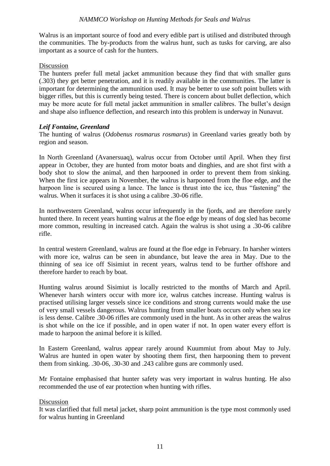Walrus is an important source of food and every edible part is utilised and distributed through the communities. The by-products from the walrus hunt, such as tusks for carving, are also important as a source of cash for the hunters.

#### Discussion

The hunters prefer full metal jacket ammunition because they find that with smaller guns (.303) they get better penetration, and it is readily available in the communities. The latter is important for determining the ammunition used. It may be better to use soft point bullets with bigger rifles, but this is currently being tested. There is concern about bullet deflection, which may be more acute for full metal jacket ammunition in smaller calibres. The bullet's design and shape also influence deflection, and research into this problem is underway in Nunavut.

#### *Leif Fontaine, Greenland*

The hunting of walrus (*Odobenus rosmarus rosmarus*) in Greenland varies greatly both by region and season.

In North Greenland (Avanersuaq), walrus occur from October until April. When they first appear in October, they are hunted from motor boats and dinghies, and are shot first with a body shot to slow the animal, and then harpooned in order to prevent them from sinking. When the first ice appears in November, the walrus is harpooned from the floe edge, and the harpoon line is secured using a lance. The lance is thrust into the ice, thus "fastening" the walrus. When it surfaces it is shot using a calibre .30-06 rifle.

In northwestern Greenland, walrus occur infrequently in the fjords, and are therefore rarely hunted there. In recent years hunting walrus at the floe edge by means of dog sled has become more common, resulting in increased catch. Again the walrus is shot using a .30-06 calibre rifle.

In central western Greenland, walrus are found at the floe edge in February. In harsher winters with more ice, walrus can be seen in abundance, but leave the area in May. Due to the thinning of sea ice off Sisimiut in recent years, walrus tend to be further offshore and therefore harder to reach by boat.

Hunting walrus around Sisimiut is locally restricted to the months of March and April. Whenever harsh winters occur with more ice, walrus catches increase. Hunting walrus is practised utilising larger vessels since ice conditions and strong currents would make the use of very small vessels dangerous. Walrus hunting from smaller boats occurs only when sea ice is less dense. Calibre .30-06 rifles are commonly used in the hunt. As in other areas the walrus is shot while on the ice if possible, and in open water if not. In open water every effort is made to harpoon the animal before it is killed.

In Eastern Greenland, walrus appear rarely around Kuummiut from about May to July. Walrus are hunted in open water by shooting them first, then harpooning them to prevent them from sinking. .30-06, .30-30 and .243 calibre guns are commonly used.

Mr Fontaine emphasised that hunter safety was very important in walrus hunting. He also recommended the use of ear protection when hunting with rifles.

#### Discussion

It was clarified that full metal jacket, sharp point ammunition is the type most commonly used for walrus hunting in Greenland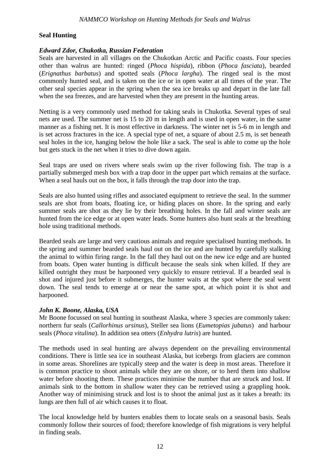## **Seal Hunting**

#### *Edward Zdor, Chukotka, Russian Federation*

Seals are harvested in all villages on the Chukotkan Arctic and Pacific coasts. Four species other than walrus are hunted: ringed (*Phoca hispida*), ribbon (*Phoca fasciata*), bearded (*Erignathus barbatus*) and spotted seals (*Phoca largha*). The ringed seal is the most commonly hunted seal, and is taken on the ice or in open water at all times of the year. The other seal species appear in the spring when the sea ice breaks up and depart in the late fall when the sea freezes, and are harvested when they are present in the hunting areas.

Netting is a very commonly used method for taking seals in Chukotka. Several types of seal nets are used. The summer net is 15 to 20 m in length and is used in open water, in the same manner as a fishing net. It is most effective in darkness. The winter net is 5-6 m in length and is set across fractures in the ice. A special type of net, a square of about 2.5 m, is set beneath seal holes in the ice, hanging below the hole like a sack. The seal is able to come up the hole but gets stuck in the net when it tries to dive down again.

Seal traps are used on rivers where seals swim up the river following fish. The trap is a partially submerged mesh box with a trap door in the upper part which remains at the surface. When a seal hauls out on the box, it falls through the trap door into the trap.

Seals are also hunted using rifles and associated equipment to retrieve the seal. In the summer seals are shot from boats, floating ice, or hiding places on shore. In the spring and early summer seals are shot as they lie by their breathing holes. In the fall and winter seals are hunted from the ice edge or at open water leads. Some hunters also hunt seals at the breathing hole using traditional methods.

Bearded seals are large and very cautious animals and require specialised hunting methods. In the spring and summer bearded seals haul out on the ice and are hunted by carefully stalking the animal to within firing range. In the fall they haul out on the new ice edge and are hunted from boats. Open water hunting is difficult because the seals sink when killed. If they are killed outright they must be harpooned very quickly to ensure retrieval. If a bearded seal is shot and injured just before it submerges, the hunter waits at the spot where the seal went down. The seal tends to emerge at or near the same spot, at which point it is shot and harpooned.

## *John K. Boone, Alaska, USA*

Mr Boone focussed on seal hunting in southeast Alaska, where 3 species are commonly taken: northern fur seals (*Callorhinus ursinus*), Steller sea lions (*Eumetopias jubatus*) and harbour seals (*Phoca vitulina*). In addition sea otters (*Enhydra lutris*) are hunted.

The methods used in seal hunting are always dependent on the prevailing environmental conditions. There is little sea ice in southeast Alaska, but icebergs from glaciers are common in some areas. Shorelines are typically steep and the water is deep in most areas. Therefore it is common practice to shoot animals while they are on shore, or to herd them into shallow water before shooting them. These practices minimise the number that are struck and lost. If animals sink to the bottom in shallow water they can be retrieved using a grappling hook. Another way of minimising struck and lost is to shoot the animal just as it takes a breath: its lungs are then full of air which causes it to float.

The local knowledge held by hunters enables them to locate seals on a seasonal basis. Seals commonly follow their sources of food; therefore knowledge of fish migrations is very helpful in finding seals.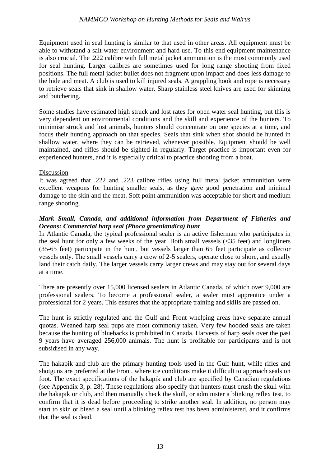Equipment used in seal hunting is similar to that used in other areas. All equipment must be able to withstand a salt-water environment and hard use. To this end equipment maintenance is also crucial. The .222 calibre with full metal jacket ammunition is the most commonly used for seal hunting. Larger calibres are sometimes used for long range shooting from fixed positions. The full metal jacket bullet does not fragment upon impact and does less damage to the hide and meat. A club is used to kill injured seals. A grappling hook and rope is necessary to retrieve seals that sink in shallow water. Sharp stainless steel knives are used for skinning and butchering.

Some studies have estimated high struck and lost rates for open water seal hunting, but this is very dependent on environmental conditions and the skill and experience of the hunters. To minimise struck and lost animals, hunters should concentrate on one species at a time, and focus their hunting approach on that species. Seals that sink when shot should be hunted in shallow water, where they can be retrieved, whenever possible. Equipment should be well maintained, and rifles should be sighted in regularly. Target practice is important even for experienced hunters, and it is especially critical to practice shooting from a boat.

#### Discussion

It was agreed that .222 and .223 calibre rifles using full metal jacket ammunition were excellent weapons for hunting smaller seals, as they gave good penetration and minimal damage to the skin and the meat. Soft point ammunition was acceptable for short and medium range shooting.

## *Mark Small, Canada, and additional information from Department of Fisheries and Oceans: Commercial harp seal (Phoca groenlandica) hunt*

In Atlantic Canada, the typical professional sealer is an active fisherman who participates in the seal hunt for only a few weeks of the year. Both small vessels  $(\leq 35$  feet) and longliners (35-65 feet) participate in the hunt, but vessels larger than 65 feet participate as collector vessels only. The small vessels carry a crew of 2-5 sealers, operate close to shore, and usually land their catch daily. The larger vessels carry larger crews and may stay out for several days at a time.

There are presently over 15,000 licensed sealers in Atlantic Canada, of which over 9,000 are professional sealers. To become a professional sealer, a sealer must apprentice under a professional for 2 years. This ensures that the appropriate training and skills are passed on.

The hunt is strictly regulated and the Gulf and Front whelping areas have separate annual quotas. Weaned harp seal pups are most commonly taken. Very few hooded seals are taken because the hunting of bluebacks is prohibited in Canada. Harvests of harp seals over the past 9 years have averaged 256,000 animals. The hunt is profitable for participants and is not subsidised in any way.

The hakapik and club are the primary hunting tools used in the Gulf hunt, while rifles and shotguns are preferred at the Front, where ice conditions make it difficult to approach seals on foot. The exact specifications of the hakapik and club are specified by Canadian regulations (see Appendix 3, p. 28). These regulations also specify that hunters must crush the skull with the hakapik or club, and then manually check the skull, or administer a blinking reflex test, to confirm that it is dead before proceeding to strike another seal. In addition, no person may start to skin or bleed a seal until a blinking reflex test has been administered, and it confirms that the seal is dead.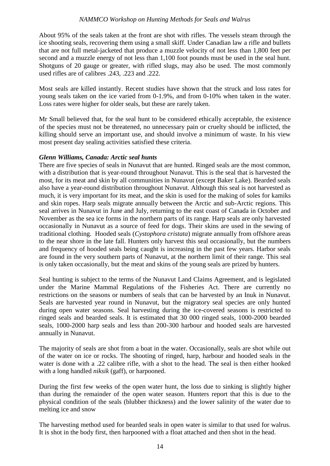About 95% of the seals taken at the front are shot with rifles. The vessels steam through the ice shooting seals, recovering them using a small skiff. Under Canadian law a rifle and bullets that are not full metal-jacketed that produce a muzzle velocity of not less than 1,800 feet per second and a muzzle energy of not less than 1,100 foot pounds must be used in the seal hunt. Shotguns of 20 gauge or greater, with rifled slugs, may also be used. The most commonly used rifles are of calibres .243, .223 and .222.

Most seals are killed instantly. Recent studies have shown that the struck and loss rates for young seals taken on the ice varied from 0-1.9%, and from 0-10% when taken in the water. Loss rates were higher for older seals, but these are rarely taken.

Mr Small believed that, for the seal hunt to be considered ethically acceptable, the existence of the species must not be threatened, no unnecessary pain or cruelty should be inflicted, the killing should serve an important use, and should involve a minimum of waste. In his view most present day sealing activities satisfied these criteria.

#### *Glenn Williams, Canada: Arctic seal hunts*

There are five species of seals in Nunavut that are hunted. Ringed seals are the most common, with a distribution that is year-round throughout Nunavut. This is the seal that is harvested the most, for its meat and skin by all communities in Nunavut (except Baker Lake). Bearded seals also have a year-round distribution throughout Nunavut. Although this seal is not harvested as much, it is very important for its meat, and the skin is used for the making of soles for kamiks and skin ropes. Harp seals migrate annually between the Arctic and sub-Arctic regions. This seal arrives in Nunavut in June and July, returning to the east coast of Canada in October and November as the sea ice forms in the northern parts of its range. Harp seals are only harvested occasionally in Nunavut as a source of feed for dogs. Their skins are used in the sewing of traditional clothing. Hooded seals (*Cystophora cristata*) migrate annually from offshore areas to the near shore in the late fall. Hunters only harvest this seal occasionally, but the numbers and frequency of hooded seals being caught is increasing in the past few years. Harbor seals are found in the very southern parts of Nunavut, at the northern limit of their range. This seal is only taken occasionally, but the meat and skins of the young seals are prized by hunters.

Seal hunting is subject to the terms of the Nunavut Land Claims Agreement, and is legislated under the Marine Mammal Regulations of the Fisheries Act. There are currently no restrictions on the seasons or numbers of seals that can be harvested by an Inuk in Nunavut. Seals are harvested year round in Nunavut, but the migratory seal species are only hunted during open water seasons. Seal harvesting during the ice-covered seasons is restricted to ringed seals and bearded seals. It is estimated that 30 000 ringed seals, 1000-2000 bearded seals, 1000-2000 harp seals and less than 200-300 harbour and hooded seals are harvested annually in Nunavut.

The majority of seals are shot from a boat in the water. Occasionally, seals are shot while out of the water on ice or rocks. The shooting of ringed, harp, harbour and hooded seals in the water is done with a .22 calibre rifle, with a shot to the head. The seal is then either hooked with a long handled *niksik* (gaff), or harpooned.

During the first few weeks of the open water hunt, the loss due to sinking is slightly higher than during the remainder of the open water season. Hunters report that this is due to the physical condition of the seals (blubber thickness) and the lower salinity of the water due to melting ice and snow

The harvesting method used for bearded seals in open water is similar to that used for walrus. It is shot in the body first, then harpooned with a float attached and then shot in the head.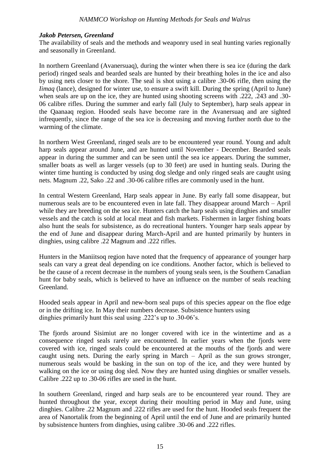## *Jakob Petersen, Greenland*

The availability of seals and the methods and weaponry used in seal hunting varies regionally and seasonally in Greenland.

In northern Greenland (Avanersuaq), during the winter when there is sea ice (during the dark period) ringed seals and bearded seals are hunted by their breathing holes in the ice and also by using nets closer to the shore. The seal is shot using a calibre .30-06 rifle, then using the *Iimaq* (lance), designed for winter use, to ensure a swift kill. During the spring (April to June) when seals are up on the ice, they are hunted using shooting screens with .222, .243 and .30- 06 calibre rifles. During the summer and early fall (July to September), harp seals appear in the Qaanaaq region. Hooded seals have become rare in the Avanersuaq and are sighted infrequently, since the range of the sea ice is decreasing and moving further north due to the warming of the climate.

In northern West Greenland, ringed seals are to be encountered year round. Young and adult harp seals appear around June, and are hunted until November - December. Bearded seals appear in during the summer and can be seen until the sea ice appears. During the summer, smaller boats as well as larger vessels (up to 30 feet) are used in hunting seals. During the winter time hunting is conducted by using dog sledge and only ringed seals are caught using nets. Magnum .22, Sako .22 and .30-06 calibre rifles are commonly used in the hunt.

In central Western Greenland, Harp seals appear in June. By early fall some disappear, but numerous seals are to be encountered even in late fall. They disappear around March – April while they are breeding on the sea ice. Hunters catch the harp seals using dinghies and smaller vessels and the catch is sold at local meat and fish markets. Fishermen in larger fishing boats also hunt the seals for subsistence, as do recreational hunters. Younger harp seals appear by the end of June and disappear during March-April and are hunted primarily by hunters in dinghies, using calibre .22 Magnum and .222 rifles.

Hunters in the Maniitsoq region have noted that the frequency of appearance of younger harp seals can vary a great deal depending on ice conditions. Another factor, which is believed to be the cause of a recent decrease in the numbers of young seals seen, is the Southern Canadian hunt for baby seals, which is believed to have an influence on the number of seals reaching Greenland.

Hooded seals appear in April and new-born seal pups of this species appear on the floe edge or in the drifting ice. In May their numbers decrease. Subsistence hunters using dinghies primarily hunt this seal using .222's up to .30-06's.

The fjords around Sisimiut are no longer covered with ice in the wintertime and as a consequence ringed seals rarely are encountered. In earlier years when the fjords were covered with ice, ringed seals could be encountered at the mouths of the fjords and were caught using nets. During the early spring in March – April as the sun grows stronger, numerous seals would be basking in the sun on top of the ice, and they were hunted by walking on the ice or using dog sled. Now they are hunted using dinghies or smaller vessels. Calibre .222 up to .30-06 rifles are used in the hunt.

In southern Greenland, ringed and harp seals are to be encountered year round. They are hunted throughout the year, except during their moulting period in May and June, using dinghies. Calibre .22 Magnum and .222 rifles are used for the hunt. Hooded seals frequent the area of Nanortalik from the beginning of April until the end of June and are primarily hunted by subsistence hunters from dinghies, using calibre .30-06 and .222 rifles.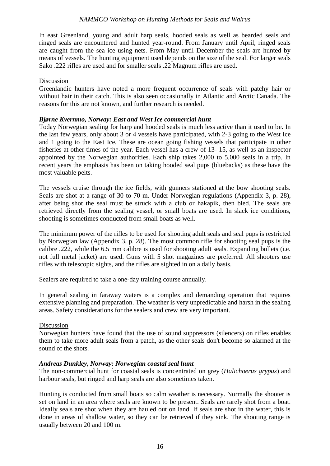In east Greenland, young and adult harp seals, hooded seals as well as bearded seals and ringed seals are encountered and hunted year-round. From January until April, ringed seals are caught from the sea ice using nets. From May until December the seals are hunted by means of vessels. The hunting equipment used depends on the size of the seal. For larger seals Sako .222 rifles are used and for smaller seals .22 Magnum rifles are used.

#### Discussion

Greenlandic hunters have noted a more frequent occurrence of seals with patchy hair or without hair in their catch. This is also seen occasionally in Atlantic and Arctic Canada. The reasons for this are not known, and further research is needed.

#### *Bjørne Kvernmo, Norway: East and West Ice commercial hunt*

Today Norwegian sealing for harp and hooded seals is much less active than it used to be. In the last few years, only about 3 or 4 vessels have participated, with 2-3 going to the West Ice and 1 going to the East Ice. These are ocean going fishing vessels that participate in other fisheries at other times of the year. Each vessel has a crew of 13- 15, as well as an inspector appointed by the Norwegian authorities. Each ship takes 2,000 to 5,000 seals in a trip. In recent years the emphasis has been on taking hooded seal pups (bluebacks) as these have the most valuable pelts.

The vessels cruise through the ice fields, with gunners stationed at the bow shooting seals. Seals are shot at a range of 30 to 70 m. Under Norwegian regulations (Appendix 3, p. 28), after being shot the seal must be struck with a club or hakapik, then bled. The seals are retrieved directly from the sealing vessel, or small boats are used. In slack ice conditions, shooting is sometimes conducted from small boats as well.

The minimum power of the rifles to be used for shooting adult seals and seal pups is restricted by Norwegian law (Appendix 3, p. 28). The most common rifle for shooting seal pups is the calibre .222, while the 6.5 mm calibre is used for shooting adult seals. Expanding bullets (i.e. not full metal jacket) are used. Guns with 5 shot magazines are preferred. All shooters use rifles with telescopic sights, and the rifles are sighted in on a daily basis.

Sealers are required to take a one-day training course annually.

In general sealing in faraway waters is a complex and demanding operation that requires extensive planning and preparation. The weather is very unpredictable and harsh in the sealing areas. Safety considerations for the sealers and crew are very important.

#### Discussion

Norwegian hunters have found that the use of sound suppressors (silencers) on rifles enables them to take more adult seals from a patch, as the other seals don't become so alarmed at the sound of the shots.

## *Andreas Dunkley, Norway: Norwegian coastal seal hunt*

The non-commercial hunt for coastal seals is concentrated on grey (*Halichoerus grypus*) and harbour seals, but ringed and harp seals are also sometimes taken.

Hunting is conducted from small boats so calm weather is necessary. Normally the shooter is set on land in an area where seals are known to be present. Seals are rarely shot from a boat. Ideally seals are shot when they are hauled out on land. If seals are shot in the water, this is done in areas of shallow water, so they can be retrieved if they sink. The shooting range is usually between 20 and 100 m.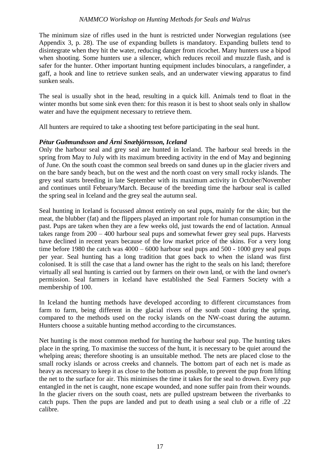The minimum size of rifles used in the hunt is restricted under Norwegian regulations (see Appendix 3, p. 28). The use of expanding bullets is mandatory. Expanding bullets tend to disintegrate when they hit the water, reducing danger from ricochet. Many hunters use a bipod when shooting. Some hunters use a silencer, which reduces recoil and muzzle flash, and is safer for the hunter. Other important hunting equipment includes binoculars, a rangefinder, a gaff, a hook and line to retrieve sunken seals, and an underwater viewing apparatus to find sunken seals.

The seal is usually shot in the head, resulting in a quick kill. Animals tend to float in the winter months but some sink even then: for this reason it is best to shoot seals only in shallow water and have the equipment necessary to retrieve them.

All hunters are required to take a shooting test before participating in the seal hunt.

#### *Pétur Guðmundsson and Árni Snæbjörnsson, Iceland*

Only the harbour seal and grey seal are hunted in Iceland. The harbour seal breeds in the spring from May to July with its maximum breeding activity in the end of May and beginning of June. On the south coast the common seal breeds on sand dunes up in the glacier rivers and on the bare sandy beach, but on the west and the north coast on very small rocky islands. The grey seal starts breeding in late September with its maximum activity in October/November and continues until February/March. Because of the breeding time the harbour seal is called the spring seal in Iceland and the grey seal the autumn seal.

Seal hunting in Iceland is focussed almost entirely on seal pups, mainly for the skin; but the meat, the blubber (fat) and the flippers played an important role for human consumption in the past. Pups are taken when they are a few weeks old, just towards the end of lactation. Annual takes range from 200 – 400 harbour seal pups and somewhat fewer grey seal pups. Harvests have declined in recent years because of the low market price of the skins. For a very long time before 1980 the catch was 4000 – 6000 harbour seal pups and 500 - 1000 grey seal pups per year. Seal hunting has a long tradition that goes back to when the island was first colonised. It is still the case that a land owner has the right to the seals on his land; therefore virtually all seal hunting is carried out by farmers on their own land, or with the land owner's permission. Seal farmers in Iceland have established the Seal Farmers Society with a membership of 100.

In Iceland the hunting methods have developed according to different circumstances from farm to farm, being different in the glacial rivers of the south coast during the spring, compared to the methods used on the rocky islands on the NW-coast during the autumn. Hunters choose a suitable hunting method according to the circumstances.

Net hunting is the most common method for hunting the harbour seal pup. The hunting takes place in the spring. To maximise the success of the hunt, it is necessary to be quiet around the whelping areas; therefore shooting is an unsuitable method. The nets are placed close to the small rocky islands or across creeks and channels. The bottom part of each net is made as heavy as necessary to keep it as close to the bottom as possible, to prevent the pup from lifting the net to the surface for air. This minimises the time it takes for the seal to drown. Every pup entangled in the net is caught, none escape wounded, and none suffer pain from their wounds. In the glacier rivers on the south coast, nets are pulled upstream between the riverbanks to catch pups. Then the pups are landed and put to death using a seal club or a rifle of .22 calibre.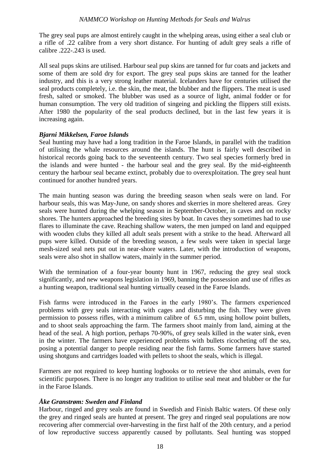The grey seal pups are almost entirely caught in the whelping areas, using either a seal club or a rifle of .22 calibre from a very short distance. For hunting of adult grey seals a rifle of calibre .222-.243 is used.

All seal pups skins are utilised. Harbour seal pup skins are tanned for fur coats and jackets and some of them are sold dry for export. The grey seal pups skins are tanned for the leather industry, and this is a very strong leather material. Icelanders have for centuries utilised the seal products completely, i.e. the skin, the meat, the blubber and the flippers. The meat is used fresh, salted or smoked. The blubber was used as a source of light, animal fodder or for human consumption. The very old tradition of singeing and pickling the flippers still exists. After 1980 the popularity of the seal products declined, but in the last few years it is increasing again.

## *Bjarni Mikkelsen, Faroe Islands*

Seal hunting may have had a long tradition in the Faroe Islands, in parallel with the tradition of utilising the whale resources around the islands. The hunt is fairly well described in historical records going back to the seventeenth century. Two seal species formerly bred in the islands and were hunted - the harbour seal and the grey seal. By the mid-eighteenth century the harbour seal became extinct, probably due to overexploitation. The grey seal hunt continued for another hundred years.

The main hunting season was during the breeding season when seals were on land. For harbour seals, this was May-June, on sandy shores and skerries in more sheltered areas. Grey seals were hunted during the whelping season in September-October, in caves and on rocky shores. The hunters approached the breeding sites by boat. In caves they sometimes had to use flares to illuminate the cave. Reaching shallow waters, the men jumped on land and equipped with wooden clubs they killed all adult seals present with a strike to the head. Afterward all pups were killed. Outside of the breeding season, a few seals were taken in special large mesh-sized seal nets put out in near-shore waters. Later, with the introduction of weapons, seals were also shot in shallow waters, mainly in the summer period.

With the termination of a four-year bounty hunt in 1967, reducing the grey seal stock significantly, and new weapons legislation in 1969, banning the possession and use of rifles as a hunting weapon, traditional seal hunting virtually ceased in the Faroe Islands.

Fish farms were introduced in the Faroes in the early 1980's. The farmers experienced problems with grey seals interacting with cages and disturbing the fish. They were given permission to possess rifles, with a minimum calibre of 6.5 mm, using hollow point bullets, and to shoot seals approaching the farm. The farmers shoot mainly from land, aiming at the head of the seal. A high portion, perhaps 70-90%, of grey seals killed in the water sink, even in the winter. The farmers have experienced problems with bullets ricocheting off the sea, posing a potential danger to people residing near the fish farms. Some farmers have started using shotguns and cartridges loaded with pellets to shoot the seals, which is illegal.

Farmers are not required to keep hunting logbooks or to retrieve the shot animals, even for scientific purposes. There is no longer any tradition to utilise seal meat and blubber or the fur in the Faroe Islands.

#### *Åke Granstrøm: Sweden and Finland*

Harbour, ringed and grey seals are found in Swedish and Finish Baltic waters. Of these only the grey and ringed seals are hunted at present. The grey and ringed seal populations are now recovering after commercial over-harvesting in the first half of the 20th century, and a period of low reproductive success apparently caused by pollutants. Seal hunting was stopped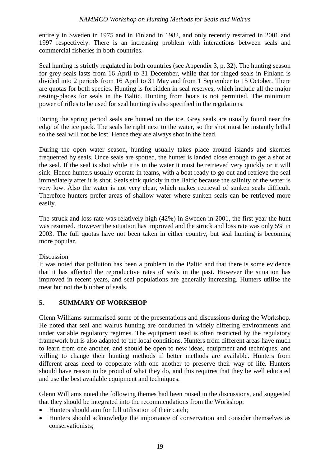entirely in Sweden in 1975 and in Finland in 1982, and only recently restarted in 2001 and 1997 respectively. There is an increasing problem with interactions between seals and commercial fisheries in both countries.

Seal hunting is strictly regulated in both countries (see Appendix 3, p. 32). The hunting season for grey seals lasts from 16 April to 31 December, while that for ringed seals in Finland is divided into 2 periods from 16 April to 31 May and from 1 September to 15 October. There are quotas for both species. Hunting is forbidden in seal reserves, which include all the major resting-places for seals in the Baltic. Hunting from boats is not permitted. The minimum power of rifles to be used for seal hunting is also specified in the regulations.

During the spring period seals are hunted on the ice. Grey seals are usually found near the edge of the ice pack. The seals lie right next to the water, so the shot must be instantly lethal so the seal will not be lost. Hence they are always shot in the head.

During the open water season, hunting usually takes place around islands and skerries frequented by seals. Once seals are spotted, the hunter is landed close enough to get a shot at the seal. If the seal is shot while it is in the water it must be retrieved very quickly or it will sink. Hence hunters usually operate in teams, with a boat ready to go out and retrieve the seal immediately after it is shot. Seals sink quickly in the Baltic because the salinity of the water is very low. Also the water is not very clear, which makes retrieval of sunken seals difficult. Therefore hunters prefer areas of shallow water where sunken seals can be retrieved more easily.

The struck and loss rate was relatively high (42%) in Sweden in 2001, the first year the hunt was resumed. However the situation has improved and the struck and loss rate was only 5% in 2003. The full quotas have not been taken in either country, but seal hunting is becoming more popular.

## Discussion

It was noted that pollution has been a problem in the Baltic and that there is some evidence that it has affected the reproductive rates of seals in the past. However the situation has improved in recent years, and seal populations are generally increasing. Hunters utilise the meat but not the blubber of seals.

## **5. SUMMARY OF WORKSHOP**

Glenn Williams summarised some of the presentations and discussions during the Workshop. He noted that seal and walrus hunting are conducted in widely differing environments and under variable regulatory regimes. The equipment used is often restricted by the regulatory framework but is also adapted to the local conditions. Hunters from different areas have much to learn from one another, and should be open to new ideas, equipment and techniques, and willing to change their hunting methods if better methods are available. Hunters from different areas need to cooperate with one another to preserve their way of life. Hunters should have reason to be proud of what they do, and this requires that they be well educated and use the best available equipment and techniques.

Glenn Williams noted the following themes had been raised in the discussions, and suggested that they should be integrated into the recommendations from the Workshop:

- Hunters should aim for full utilisation of their catch;
- Hunters should acknowledge the importance of conservation and consider themselves as conservationists;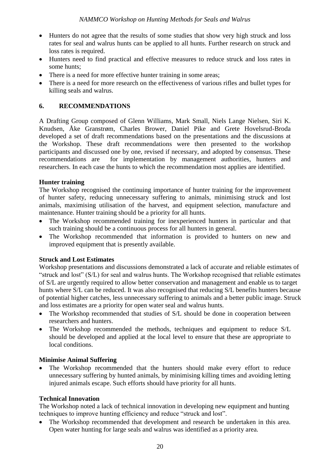- Hunters do not agree that the results of some studies that show very high struck and loss rates for seal and walrus hunts can be applied to all hunts. Further research on struck and loss rates is required.
- Hunters need to find practical and effective measures to reduce struck and loss rates in some hunts;
- There is a need for more effective hunter training in some areas;
- There is a need for more research on the effectiveness of various rifles and bullet types for killing seals and walrus.

## **6. RECOMMENDATIONS**

A Drafting Group composed of Glenn Williams, Mark Small, Niels Lange Nielsen, Siri K. Knudsen, Åke Granstrøm, Charles Brower, Daniel Pike and Grete Hovelsrud-Broda developed a set of draft recommendations based on the presentations and the discussions at the Workshop. These draft recommendations were then presented to the workshop participants and discussed one by one, revised if necessary, and adopted by consensus. These recommendations are for implementation by management authorities, hunters and researchers. In each case the hunts to which the recommendation most applies are identified.

## **Hunter training**

The Workshop recognised the continuing importance of hunter training for the improvement of hunter safety, reducing unnecessary suffering to animals, minimising struck and lost animals, maximising utilisation of the harvest, and equipment selection, manufacture and maintenance. Hunter training should be a priority for all hunts.

- The Workshop recommended training for inexperienced hunters in particular and that such training should be a continuous process for all hunters in general.
- The Workshop recommended that information is provided to hunters on new and improved equipment that is presently available.

## **Struck and Lost Estimates**

Workshop presentations and discussions demonstrated a lack of accurate and reliable estimates of "struck and lost" (S/L) for seal and walrus hunts. The Workshop recognised that reliable estimates of S/L are urgently required to allow better conservation and management and enable us to target hunts where S/L can be reduced. It was also recognised that reducing S/L benefits hunters because of potential higher catches, less unnecessary suffering to animals and a better public image. Struck and loss estimates are a priority for open water seal and walrus hunts.

- The Workshop recommended that studies of S/L should be done in cooperation between researchers and hunters.
- The Workshop recommended the methods, techniques and equipment to reduce S/L should be developed and applied at the local level to ensure that these are appropriate to local conditions.

## **Minimise Animal Suffering**

 The Workshop recommended that the hunters should make every effort to reduce unnecessary suffering by hunted animals, by minimising killing times and avoiding letting injured animals escape. Such efforts should have priority for all hunts.

## **Technical Innovation**

The Workshop noted a lack of technical innovation in developing new equipment and hunting techniques to improve hunting efficiency and reduce "struck and lost".

 The Workshop recommended that development and research be undertaken in this area. Open water hunting for large seals and walrus was identified as a priority area.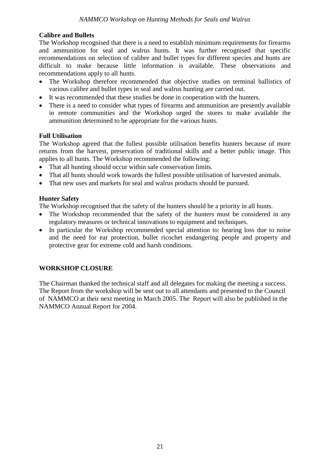## **Calibre and Bullets**

The Workshop recognised that there is a need to establish minimum requirements for firearms and ammunition for seal and walrus hunts. It was further recognised that specific recommendations on selection of calibre and bullet types for different species and hunts are difficult to make because little information is available. These observations and recommendations apply to all hunts.

- The Workshop therefore recommended that objective studies on terminal ballistics of various calibre and bullet types in seal and walrus hunting are carried out.
- It was recommended that these studies be done in cooperation with the hunters.
- There is a need to consider what types of firearms and ammunition are presently available in remote communities and the Workshop urged the stores to make available the ammunition determined to be appropriate for the various hunts.

## **Full Utilisation**

The Workshop agreed that the fullest possible utilisation benefits hunters because of more returns from the harvest, preservation of traditional skills and a better public image. This applies to all hunts. The Workshop recommended the following:

- That all hunting should occur within safe conservation limits.
- That all hunts should work towards the fullest possible utilisation of harvested animals.
- That new uses and markets for seal and walrus products should be pursued.

## **Hunter Safety**

The Workshop recognised that the safety of the hunters should be a priority in all hunts.

- The Workshop recommended that the safety of the hunters must be considered in any regulatory measures or technical innovations to equipment and techniques.
- In particular the Workshop recommended special attention to: hearing loss due to noise and the need for ear protection, bullet ricochet endangering people and property and protective gear for extreme cold and harsh conditions.

## **WORKSHOP CLOSURE**

The Chairman thanked the technical staff and all delegates for making the meeting a success. The Report from the workshop will be sent out to all attendants and presented to the Council of NAMMCO at their next meeting in March 2005. The Report will also be published in the NAMMCO Annual Report for 2004.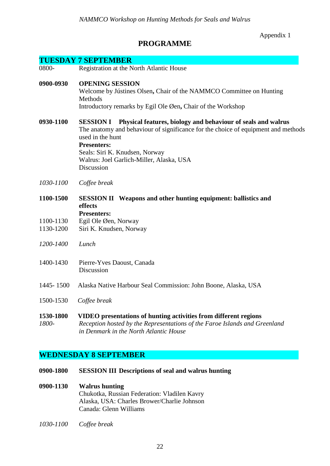Appendix 1

# **PROGRAMME**

|                    | <b>TUESDAY 7 SEPTEMBER</b>                                                                                                                                                                                                                                                                                  |
|--------------------|-------------------------------------------------------------------------------------------------------------------------------------------------------------------------------------------------------------------------------------------------------------------------------------------------------------|
| 0800-              | Registration at the North Atlantic House                                                                                                                                                                                                                                                                    |
| 0900-0930          | <b>OPENING SESSION</b><br>Welcome by Jústines Olsen, Chair of the NAMMCO Committee on Hunting<br>Methods<br>Introductory remarks by Egil Ole Øen, Chair of the Workshop                                                                                                                                     |
| 0930-1100          | Physical features, biology and behaviour of seals and walrus<br><b>SESSION I</b><br>The anatomy and behaviour of significance for the choice of equipment and methods<br>used in the hunt<br><b>Presenters:</b><br>Seals: Siri K. Knudsen, Norway<br>Walrus: Joel Garlich-Miller, Alaska, USA<br>Discussion |
| 1030-1100          | Coffee break                                                                                                                                                                                                                                                                                                |
| 1100-1500          | <b>SESSION II</b> Weapons and other hunting equipment: ballistics and<br>effects<br><b>Presenters:</b>                                                                                                                                                                                                      |
| 1100-1130          | Egil Ole Øen, Norway                                                                                                                                                                                                                                                                                        |
| 1130-1200          | Siri K. Knudsen, Norway                                                                                                                                                                                                                                                                                     |
| 1200-1400          | Lunch                                                                                                                                                                                                                                                                                                       |
| 1400-1430          | Pierre-Yves Daoust, Canada<br>Discussion                                                                                                                                                                                                                                                                    |
| 1445-1500          | Alaska Native Harbour Seal Commission: John Boone, Alaska, USA                                                                                                                                                                                                                                              |
| 1500-1530          | Coffee break                                                                                                                                                                                                                                                                                                |
| 1530-1800<br>1800- | VIDEO presentations of hunting activities from different regions<br>Reception hosted by the Representations of the Faroe Islands and Greenland<br>in Denmark in the North Atlantic House                                                                                                                    |

# **WEDNESDAY 8 SEPTEMBER**

- **0900-1800 SESSION III Descriptions of seal and walrus hunting**
- **0900-1130 Walrus hunting** Chukotka, Russian Federation: Vladilen Kavry Alaska, USA: Charles Brower/Charlie Johnson Canada: Glenn Williams
- *1030-1100 Coffee break*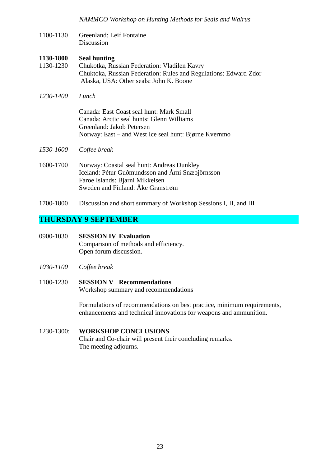1100-1130 Greenland: Leif Fontaine **Discussion** 

#### **1130-1800 Seal hunting**

- 1130-1230 Chukotka, Russian Federation: Vladilen Kavry Chuktoka, Russian Federation: Rules and Regulations: Edward Zdor Alaska, USA: Other seals: John K. Boone
- *1230-1400 Lunch*

Canada: East Coast seal hunt: Mark Small Canada: Arctic seal hunts: Glenn Williams Greenland: Jakob Petersen Norway: East – and West Ice seal hunt: Bjørne Kvernmo

- *1530-1600 Coffee break*
- 1600-1700 Norway: Coastal seal hunt: Andreas Dunkley Iceland: Pétur Guðmundsson and Árni Snæbjörnsson Faroe Islands: Bjarni Mikkelsen Sweden and Finland: Åke Granstrøm
- 1700-1800 Discussion and short summary of Workshop Sessions I, II, and III

## **THURSDAY 9 SEPTEMBER**

- 0900-1030 **SESSION IV Evaluation** Comparison of methods and efficiency. Open forum discussion.
- *1030-1100 Coffee break*

# 1100-1230 **SESSION V Recommendations**

Workshop summary and recommendations

Formulations of recommendations on best practice, minimum requirements, enhancements and technical innovations for weapons and ammunition.

#### 1230-1300: **WORKSHOP CONCLUSIONS** Chair and Co-chair will present their concluding remarks. The meeting adjourns.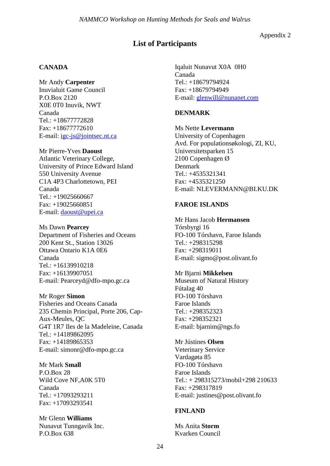Appendix 2

# **List of Participants**

#### **CANADA**

Mr Andy **Carpenter** Inuvialuit Game Council P.O.Box 2120 X0E 0T0 Inuvik, NWT Canada Tel.: +18677772828 Fax: +18677772610 E-mail: [igc-js@jointsec.nt.ca](mailto:igc-js@jointsec.nt.ca)

#### Mr Pierre-Yves **Daoust**

Atlantic Veterinary College, University of Prince Edward Island 550 University Avenue C1A 4P3 Charlottetown, PEI Canada Tel.: +19025660667 Fax: +19025660851 E-mail: [daoust@upei.ca](mailto:daoust@upei.ca)

#### Ms Dawn **Pearcey**

Department of Fisheries and Oceans 200 Kent St., Station 13026 Ottawa Ontario K1A 0E6 Canada Tel.: +16139910218 Fax: +16139907051 E-mail: Pearceyd@dfo-mpo.gc.ca

#### Mr Roger **Simon**

Fisheries and Oceans Canada 235 Chemin Principal, Porte 206, Cap-Aux-Meules, QC G4T 1R7 Iles de la Madeleine, Canada Tel.: +14189862095 Fax: +14189865353 E-mail: simonr@dfo-mpo.gc.ca

#### Mr Mark **Small**

P.O.Box 28 Wild Cove NF,A0K 5T0 Canada Tel.: +17093293211 Fax: +17093293541

Mr Glenn **Williams** Nunavut Tunngavik Inc. P.O.Box 638

Iqaluit Nunavut X0A 0H0 Canada Tel.: +18679794924 Fax: +18679794949 E-mail: [glenwill@nunanet.com](mailto:glenwill@nunanet.com)

#### **DENMARK**

Ms Nette **Levermann** University of Copenhagen Avd. For populationsøkologi, ZI, KU, Universitetsparken 15 2100 Copenhagen Ø Denmark Tel.: +4535321341 Fax: +4535321250

E-mail: NLEVERMANN@BI.KU.DK

## **FAROE ISLANDS**

#### Mr Hans Jacob **Hermansen**

Tórsbyrgi 16 FO-100 Tórshavn, Faroe Islands Tel.: +298315298 Fax: +298319011 E-mail: sigmo@post.olivant.fo

#### Mr Bjarni **Mikkelsen**

Museum of Natural History Fútalag 40 FO-100 Tórshavn Faroe Islands Tel.: +298352323 Fax: +298352321 E-mail: bjarnim@ngs.fo

#### Mr Jústines **Olsen**

Veterinary Service Vardagøta 85 FO-100 Tórshavn Faroe Islands Tel.: + 298315273/mobil+298 210633 Fax: +298317819 E-mail: justines@post.olivant.fo

#### **FINLAND**

Ms Anita **Storm** Kvarken Council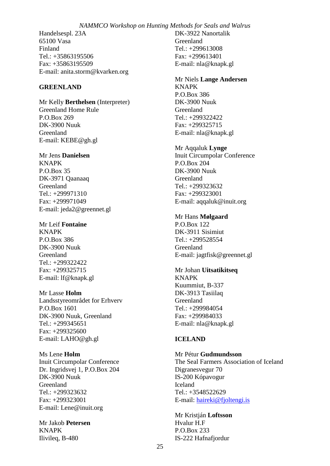Handelsespl. 23A 65100 Vasa Finland Tel.: +35863195506 Fax: +35863195509 E-mail: anita.storm@kvarken.org

#### **GREENLAND**

Mr Kelly **Berthelsen** (Interpreter) Greenland Home Rule P.O.Box 269 DK-3900 Nuuk Greenland E-mail: KEBE@gh.gl

#### Mr Jens **Danielsen**

KNAPK P.O.Box 35 DK-3971 Qaanaaq Greenland Tel.: +299971310 Fax: +299971049 E-mail: jeda2@greennet.gl

Mr Leif **Fontaine**

KNAPK P.O.Box 386 DK-3900 Nuuk Greenland Tel.: +299322422 Fax: +299325715 E-mail: lf@knapk.gl

Mr Lasse **Holm**

Landsstyreområdet for Erhverv P.O.Box 1601 DK-3900 Nuuk, Greenland Tel.: +299345651 Fax: +299325600 E-mail: LAHO@gh.gl

Ms Lene **Holm** Inuit Circumpolar Conference Dr. Ingridsvej 1, P.O.Box 204 DK-3900 Nuuk Greenland Tel.: +299323632 Fax: +299323001 E-mail: Lene@inuit.org

Mr Jakob **Petersen** KNAPK Ilivileq, B-480

DK-3922 Nanortalik Greenland Tel.: +299613008 Fax: +299613401 E-mail: nla@knapk.gl

#### Mr Niels **Lange Andersen** KNAPK P.O.Box 386 DK-3900 Nuuk Greenland Tel.: +299322422 Fax: +299325715

Mr Aqqaluk **Lynge**

E-mail: nla@knapk.gl

Inuit Circumpolar Conference P.O.Box 204 DK-3900 Nuuk Greenland Tel.: +299323632 Fax: +299323001 E-mail: aqqaluk@inuit.org

#### Mr Hans **Mølgaard**

P.O.Box 122 DK-3911 Sisimiut Tel.: +299528554 Greenland E-mail: jagtfisk@greennet.gl

Mr Johan **Uitsatikitseq**

KNAPK Kuummiut, B-337 DK-3913 Tasiilaq Greenland Tel.: +299984054 Fax: +299984033 E-mail: nla@knapk.gl

#### **ICELAND**

Mr Pétur **Gudmundsson** The Seal Farmers Association of Iceland Digranesvegur 70 IS-200 Kópavogur Iceland Tel.: +3548522629 E-mail: [haireki@fjoltengi.is](mailto:haireki@fjoltengi.is)

Mr Kristján **Loftsson** Hvalur H.F P.O.Box 233 IS-222 Hafnafjordur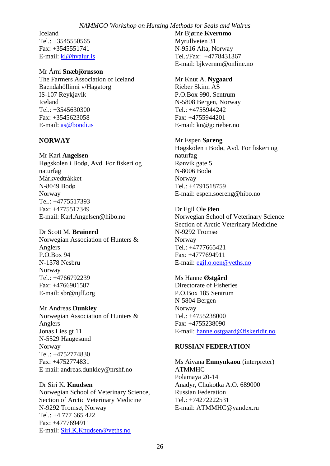Iceland Tel.: +3545550565 Fax: +3545551741 E-mail: [kl@hvalur.is](mailto:kl@hvalur.is)

#### Mr Árni **Snæbjörnsson**

The Farmers Association of Iceland Baendahöllinni v/Hagatorg IS-107 Reykjavik Iceland Tel.: +3545630300 Fax: +3545623058 E-mail: [as@bondi.is](mailto:as@bondi.is)

#### **NORWAY**

Mr Karl **Angelsen** Høgskolen i Bodø, Avd. For fiskeri og naturfag Mårkvedtråkket N-8049 Bodø Norway Tel.: +4775517393 Fax: +4775517349 E-mail: Karl.Angelsen@hibo.no

#### Dr Scott M. **Brainerd**

Norwegian Association of Hunters & Anglers P.O.Box 94 N-1378 Nesbru Norway Tel.: +4766792239 Fax: +4766901587 E-mail: sbr@njff.org

#### Mr Andreas **Dunkley**

Norwegian Association of Hunters & Anglers Jonas Lies gt 11 N-5529 Haugesund Norway Tel.: +4752774830 Fax: +4752774831 E-mail: andreas.dunkley@nrshf.no

#### Dr Siri K. **Knudsen**

Norwegian School of Veterinary Science, Section of Arctic Veterinary Medicine N-9292 Tromsø, Norway Tel.: +4 777 665 422 Fax: +4777694911 E-mail: [Siri.K.Knudsen@veths.no](mailto:Siri.K.Knudsen@veths.no)

Mr Bjørne **Kvernmo** Myrullveien 31 N-9516 Alta, Norway Tel.:/Fax: +4778431367 E-mail: bjkvernm@online.no

#### Mr Knut A. **Nygaard**

Rieber Skinn AS P.O.Box 990, Sentrum N-5808 Bergen, Norway Tel.: +4755944242 Fax: +4755944201 E-mail: kn@gcrieber.no

#### Mr Espen **Søreng**

Høgskolen i Bodø, Avd. For fiskeri og naturfag Rønvik gate 5 N-8006 Bodø Norway Tel.: +4791518759 E-mail: espen.soereng@hibo.no

#### Dr Egil Ole **Øen**

Norwegian School of Veterinary Science Section of Arctic Veterinary Medicine N-9292 Tromsø Norway Tel.: +4777665421 Fax: +4777694911 E-mail: [egil.o.oen@veths.no](mailto:egil.o.oen@veths.no)

## Ms Hanne **Østgård**

Directorate of Fisheries P.O.Box 185 Sentrum N-5804 Bergen Norway Tel.: +4755238000 Fax: +4755238090 E-mail: [hanne.ostgaard@fiskeridir.no](mailto:hanne.ostgaard@fiskeridir.no)

#### **RUSSIAN FEDERATION**

Ms Aivana **Enmynkaou** (interpreter) ATMMHC Polamaya 20-14 Anadyr, Chukotka A.O. 689000 Russian Federation Tel.: +74272222531 E-mail: ATMMHC@yandex.ru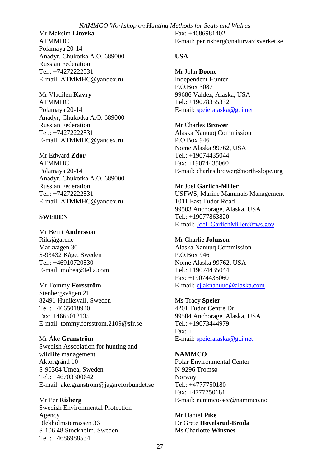Mr Maksim **Litovka** ATMMHC Polamaya 20-14 Anadyr, Chukotka A.O. 689000 Russian Federation Tel.: +74272222531 E-mail: ATMMHC@yandex.ru

Mr Vladilen **Kavry** ATMMHC Polamaya 20-14 Anadyr, Chukotka A.O. 689000 Russian Federation Tel.: +74272222531 E-mail: ATMMHC@yandex.ru

Mr Edward **Zdor** ATMMHC Polamaya 20-14 Anadyr, Chukotka A.O. 689000 Russian Federation Tel.: +74272222531 E-mail: ATMMHC@yandex.ru

#### **SWEDEN**

Mr Bernt **Andersson** Riksjágarene Markvágen 30 S-93432 Kåge, Sweden Tel.: +46910720530 E-mail: mobea@telia.com

Mr Tommy **Forsström** Stenbergsvägen 21 82491 Hudiksvall, Sweden Tel.: +4665018940 Fax: +4665012135 E-mail: tommy.forsstrom.2109@sfr.se

Mr Åke **Granström** Swedish Association for hunting and wildlife management Aktorgränd 10 S-90364 Umeå, Sweden Tel.: +46703300642 E-mail: ake.granstrom@jagareforbundet.se

Mr Per **Risberg** Swedish Environmental Protection Agency Blekholmsterrassen 36 S-106 48 Stockholm, Sweden Tel.: +4686988534

Fax: +4686981402 E-mail: per.risberg@naturvardsverket.se

#### **USA**

Mr John **Boone** Independent Hunter P.O.Box 3087 99686 Valdez, Alaska, USA Tel.: +19078355332 E-mail: [speieralaska@gci.net](mailto:speieralaska@gci.net)

Mr Charles **Brower** Alaska Nanuuq Commission P.O.Box 946 Nome Alaska 99762, USA Tel.: +19074435044 Fax: +19074435060 E-mail: charles.brower@north-slope.org

Mr Joel **Garlich-Miller** USFWS, Marine Mammals Management 1011 East Tudor Road 99503 Anchorage, Alaska, USA Tel.: +19077863820 E-mail: [Joel\\_GarlichMiller@fws.gov](mailto:Joel_GarlichMiller@fws.gov)

Mr Charlie **Johnson** Alaska Nanuuq Commission P.O.Box 946 Nome Alaska 99762, USA Tel.: +19074435044 Fax: +19074435060 E-mail: [cj.aknanuuq@alaska.com](mailto:cj.aknanuuq@alaska.com)

Ms Tracy **Speier** 4201 Tudor Centre Dr. 99504 Anchorage, Alaska, USA Tel.: +19073444979  $\text{Fax:} +$ E-mail: [speieralaska@gci.net](mailto:speieralaska@gci.net)

**NAMMCO**  Polar Environmental Center N-9296 Tromsø Norway Tel.: +4777750180 Fax: +4777750181 E-mail: nammco-sec@nammco.no

Mr Daniel **Pike** Dr Grete **Hovelsrud-Broda** Ms Charlotte **Winsnes**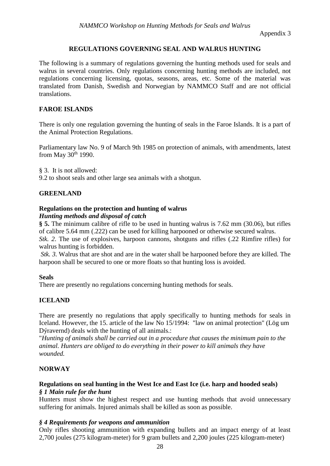Appendix 3

## **REGULATIONS GOVERNING SEAL AND WALRUS HUNTING**

The following is a summary of regulations governing the hunting methods used for seals and walrus in several countries. Only regulations concerning hunting methods are included, not regulations concerning licensing, quotas, seasons, areas, etc. Some of the material was translated from Danish, Swedish and Norwegian by NAMMCO Staff and are not official translations.

#### **FAROE ISLANDS**

There is only one regulation governing the hunting of seals in the Faroe Islands. It is a part of the Animal Protection Regulations.

Parliamentary law No. 9 of March 9th 1985 on protection of animals, with amendments, latest from May  $30<sup>th</sup>$  1990.

§ 3. It is not allowed:

9.2 to shoot seals and other large sea animals with a shotgun.

#### **GREENLAND**

#### **Regulations on the protection and hunting of walrus**

#### *Hunting methods and disposal of catch*

**§ 5.** The minimum calibre of rifle to be used in hunting walrus is 7.62 mm (30.06), but rifles of calibre 5.64 mm (.222) can be used for killing harpooned or otherwise secured walrus. *Stk. 2*. The use of explosives, harpoon cannons, shotguns and rifles (.22 Rimfire rifles) for

walrus hunting is forbidden.

*Stk. 3.* Walrus that are shot and are in the water shall be harpooned before they are killed. The harpoon shall be secured to one or more floats so that hunting loss is avoided.

#### **Seals**

There are presently no regulations concerning hunting methods for seals.

#### **ICELAND**

There are presently no regulations that apply specifically to hunting methods for seals in Iceland. However, the 15. article of the law No 15/1994: "law on animal protection" (Lög um Dýravernd) deals with the hunting of all animals.:

"*Hunting of animals shall be carried out in a procedure that causes the minimum pain to the animal. Hunters are obliged to do everything in their power to kill animals they have wounded.*

#### **NORWAY**

#### **Regulations on seal hunting in the West Ice and East Ice (i.e. harp and hooded seals)** *§ 1 Main rule for the hunt*

Hunters must show the highest respect and use hunting methods that avoid unnecessary suffering for animals. Injured animals shall be killed as soon as possible.

#### *§ 4 Requirements for weapons and ammunition*

Only rifles shooting ammunition with expanding bullets and an impact energy of at least 2,700 joules (275 kilogram-meter) for 9 gram bullets and 2,200 joules (225 kilogram-meter)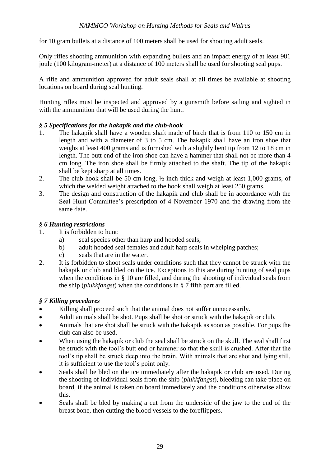for 10 gram bullets at a distance of 100 meters shall be used for shooting adult seals.

Only rifles shooting ammunition with expanding bullets and an impact energy of at least 981 joule (100 kilogram-meter) at a distance of 100 meters shall be used for shooting seal pups.

A rifle and ammunition approved for adult seals shall at all times be available at shooting locations on board during seal hunting.

Hunting rifles must be inspected and approved by a gunsmith before sailing and sighted in with the ammunition that will be used during the hunt.

## *§ 5 Specifications for the hakapik and the club-hook*

- 1. The hakapik shall have a wooden shaft made of birch that is from 110 to 150 cm in length and with a diameter of 3 to 5 cm. The hakapik shall have an iron shoe that weighs at least 400 grams and is furnished with a slightly bent tip from 12 to 18 cm in length. The butt end of the iron shoe can have a hammer that shall not be more than 4 cm long. The iron shoe shall be firmly attached to the shaft. The tip of the hakapik shall be kept sharp at all times.
- 2. The club hook shall be 50 cm long, ½ inch thick and weigh at least 1,000 grams, of which the welded weight attached to the hook shall weigh at least 250 grams.
- 3. The design and construction of the hakapik and club shall be in accordance with the Seal Hunt Committee's prescription of 4 November 1970 and the drawing from the same date.

## *§ 6 Hunting restrictions*

- 1. It is forbidden to hunt:
	- a) seal species other than harp and hooded seals;
	- b) adult hooded seal females and adult harp seals in whelping patches;
	- c) seals that are in the water.
- 2. It is forbidden to shoot seals under conditions such that they cannot be struck with the hakapik or club and bled on the ice. Exceptions to this are during hunting of seal pups when the conditions in § 10 are filled, and during the shooting of individual seals from the ship (*plukkfangst*) when the conditions in § 7 fifth part are filled.

## *§ 7 Killing procedures*

- Killing shall proceed such that the animal does not suffer unnecessarily.
- Adult animals shall be shot. Pups shall be shot or struck with the hakapik or club.
- Animals that are shot shall be struck with the hakapik as soon as possible. For pups the club can also be used.
- When using the hakapik or club the seal shall be struck on the skull. The seal shall first be struck with the tool's butt end or hammer so that the skull is crushed. After that the tool's tip shall be struck deep into the brain. With animals that are shot and lying still, it is sufficient to use the tool's point only.
- Seals shall be bled on the ice immediately after the hakapik or club are used. During the shooting of individual seals from the ship (*plukkfangst*), bleeding can take place on board, if the animal is taken on board immediately and the conditions otherwise allow this.
- Seals shall be bled by making a cut from the underside of the jaw to the end of the breast bone, then cutting the blood vessels to the foreflippers.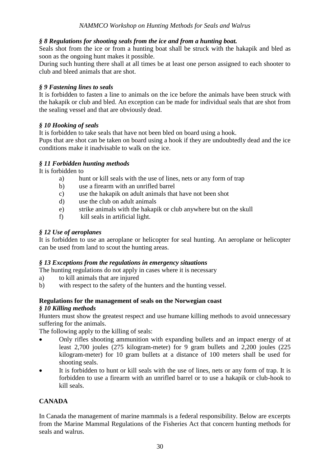## *§ 8 Regulations for shooting seals from the ice and from a hunting boat.*

Seals shot from the ice or from a hunting boat shall be struck with the hakapik and bled as soon as the ongoing hunt makes it possible.

During such hunting there shall at all times be at least one person assigned to each shooter to club and bleed animals that are shot.

## *§ 9 Fastening lines to seals*

It is forbidden to fasten a line to animals on the ice before the animals have been struck with the hakapik or club and bled. An exception can be made for individual seals that are shot from the sealing vessel and that are obviously dead.

## *§ 10 Hooking of seals*

It is forbidden to take seals that have not been bled on board using a hook.

Pups that are shot can be taken on board using a hook if they are undoubtedly dead and the ice conditions make it inadvisable to walk on the ice.

## *§ 11 Forbidden hunting methods*

It is forbidden to

- a) hunt or kill seals with the use of lines, nets or any form of trap
- b) use a firearm with an unrifled barrel
- c) use the hakapik on adult animals that have not been shot
- d) use the club on adult animals
- e) strike animals with the hakapik or club anywhere but on the skull
- f) kill seals in artificial light.

## *§ 12 Use of aeroplanes*

It is forbidden to use an aeroplane or helicopter for seal hunting. An aeroplane or helicopter can be used from land to scout the hunting areas.

## *§ 13 Exceptions from the regulations in emergency situations*

The hunting regulations do not apply in cases where it is necessary

- a) to kill animals that are injured
- b) with respect to the safety of the hunters and the hunting vessel.

# **Regulations for the management of seals on the Norwegian coast**

## *§ 10 Killing methods*

Hunters must show the greatest respect and use humane killing methods to avoid unnecessary suffering for the animals.

The following apply to the killing of seals:

- Only rifles shooting ammunition with expanding bullets and an impact energy of at least 2,700 joules (275 kilogram-meter) for 9 gram bullets and 2,200 joules (225 kilogram-meter) for 10 gram bullets at a distance of 100 meters shall be used for shooting seals.
- It is forbidden to hunt or kill seals with the use of lines, nets or any form of trap. It is forbidden to use a firearm with an unrifled barrel or to use a hakapik or club-hook to kill seals.

## **CANADA**

In Canada the management of marine mammals is a federal responsibility. Below are excerpts from the Marine Mammal Regulations of the Fisheries Act that concern hunting methods for seals and walrus.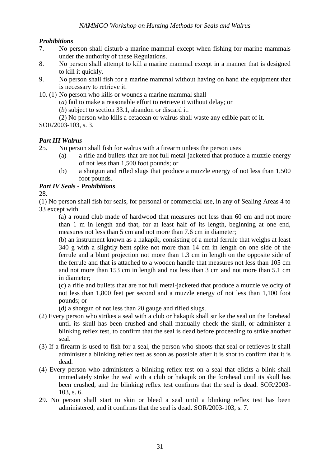## *Prohibitions*

- 7. No person shall disturb a marine mammal except when fishing for marine mammals under the authority of these Regulations.
- 8. No person shall attempt to kill a marine mammal except in a manner that is designed to kill it quickly.
- 9. No person shall fish for a marine mammal without having on hand the equipment that is necessary to retrieve it.
- 10. (1) No person who kills or wounds a marine mammal shall
	- (*a*) fail to make a reasonable effort to retrieve it without delay; or
	- (*b*) subject to section 33.1, abandon or discard it.
	- (2) No person who kills a cetacean or walrus shall waste any edible part of it.

SOR/2003-103, s. 3.

## *Part III Walrus*

25. No person shall fish for walrus with a firearm unless the person uses

- (a) a rifle and bullets that are not full metal-jacketed that produce a muzzle energy of not less than 1,500 foot pounds; or
- (b) a shotgun and rifled slugs that produce a muzzle energy of not less than 1,500 foot pounds.

## *Part IV Seals - Prohibitions*

28.

(1) No person shall fish for seals, for personal or commercial use, in any of Sealing Areas 4 to 33 except with

(a) a round club made of hardwood that measures not less than 60 cm and not more than 1 m in length and that, for at least half of its length, beginning at one end, measures not less than 5 cm and not more than 7.6 cm in diameter;

(b) an instrument known as a hakapik, consisting of a metal ferrule that weighs at least 340 g with a slightly bent spike not more than 14 cm in length on one side of the ferrule and a blunt projection not more than 1.3 cm in length on the opposite side of the ferrule and that is attached to a wooden handle that measures not less than 105 cm and not more than 153 cm in length and not less than 3 cm and not more than 5.1 cm in diameter;

(c) a rifle and bullets that are not full metal-jacketed that produce a muzzle velocity of not less than 1,800 feet per second and a muzzle energy of not less than 1,100 foot pounds; or

(d) a shotgun of not less than 20 gauge and rifled slugs.

- (2) Every person who strikes a seal with a club or hakapik shall strike the seal on the forehead until its skull has been crushed and shall manually check the skull, or administer a blinking reflex test, to confirm that the seal is dead before proceeding to strike another seal.
- (3) If a firearm is used to fish for a seal, the person who shoots that seal or retrieves it shall administer a blinking reflex test as soon as possible after it is shot to confirm that it is dead.
- (4) Every person who administers a blinking reflex test on a seal that elicits a blink shall immediately strike the seal with a club or hakapik on the forehead until its skull has been crushed, and the blinking reflex test confirms that the seal is dead. SOR/2003- 103, s. 6.
- 29. No person shall start to skin or bleed a seal until a blinking reflex test has been administered, and it confirms that the seal is dead. SOR/2003-103, s. 7.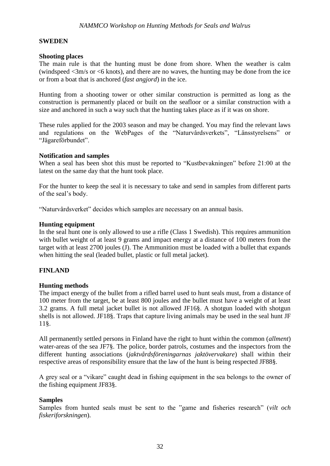#### **SWEDEN**

#### **Shooting places**

The main rule is that the hunting must be done from shore. When the weather is calm (windspeed  $\langle 3m/s \rangle$  or  $\langle 6 \rangle$  knots), and there are no waves, the hunting may be done from the ice or from a boat that is anchored (*fast angjord*) in the ice.

Hunting from a shooting tower or other similar construction is permitted as long as the construction is permanently placed or built on the seafloor or a similar construction with a size and anchored in such a way such that the hunting takes place as if it was on shore.

These rules applied for the 2003 season and may be changed. You may find the relevant laws and regulations on the WebPages of the "Naturvårdsverkets", "Länsstyrelsens" or "Jägareförbundet".

#### **Notification and samples**

When a seal has been shot this must be reported to "Kustbevakningen" before 21:00 at the latest on the same day that the hunt took place.

For the hunter to keep the seal it is necessary to take and send in samples from different parts of the seal's body.

"Naturvårdsverket" decides which samples are necessary on an annual basis.

#### **Hunting equipment**

In the seal hunt one is only allowed to use a rifle (Class 1 Swedish). This requires ammunition with bullet weight of at least 9 grams and impact energy at a distance of 100 meters from the target with at least 2700 joules (J). The Ammunition must be loaded with a bullet that expands when hitting the seal (leaded bullet, plastic or full metal jacket).

#### **FINLAND**

## **Hunting methods**

The impact energy of the bullet from a rifled barrel used to hunt seals must, from a distance of 100 meter from the target, be at least 800 joules and the bullet must have a weight of at least 3.2 grams. A full metal jacket bullet is not allowed JF16§. A shotgun loaded with shotgun shells is not allowed. JF18§. Traps that capture living animals may be used in the seal hunt JF 11§.

All permanently settled persons in Finland have the right to hunt within the common (*allment*) water-areas of the sea JF7§. The police, border patrols, costumes and the inspectors from the different hunting associations (*jaktvårdsföreningarnas jaktövervakare*) shall within their respective areas of responsibility ensure that the law of the hunt is being respected JF88§.

A grey seal or a "vikare" caught dead in fishing equipment in the sea belongs to the owner of the fishing equipment JF83§.

#### **Samples**

Samples from hunted seals must be sent to the "game and fisheries research" (*vilt och fiskeriforskningen*).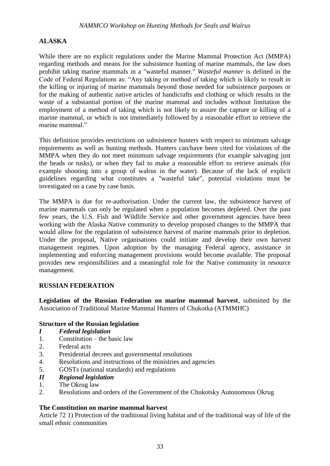## **ALASKA**

While there are no explicit regulations under the Marine Mammal Protection Act (MMPA) regarding methods and means for the subsistence hunting of marine mammals, the law does prohibit taking marine mammals in a "wasteful manner." *Wasteful manner* is defined in the Code of Federal Regulations as: "Any taking or method of taking which is likely to result in the killing or injuring of marine mammals beyond those needed for subsistence purposes or for the making of authentic native articles of handicrafts and clothing or which results in the waste of a substantial portion of the marine mammal and includes without limitation the employment of a method of taking which is not likely to assure the capture or killing of a marine mammal, or which is not immediately followed by a reasonable effort to retrieve the marine mammal."

This definition provides restrictions on subsistence hunters with respect to minimum salvage requirements as well as hunting methods. Hunters can/have been cited for violations of the MMPA when they do not meet minimum salvage requirements (for example salvaging just the heads or tusks), or when they fail to make a reasonable effort to retrieve animals (for example shooting into a group of walrus in the water). Because of the lack of explicit guidelines regarding what constitutes a "wasteful take", potential violations must be investigated on a case by case basis.

The MMPA is due for re-authorisation. Under the current law, the subsistence harvest of marine mammals can only be regulated when a population becomes depleted. Over the past few years, the U.S. Fish and Wildlife Service and other government agencies have been working with the Alaska Native community to develop proposed changes to the MMPA that would allow for the regulation of subsistence harvest of marine mammals prior to depletion. Under the proposal, Native organisations could initiate and develop their own harvest management regimes. Upon adoption by the managing Federal agency, assistance in implementing and enforcing management provisions would become available. The proposal provides new responsibilities and a meaningful role for the Native community in resource management.

## **RUSSIAN FEDERATION**

**Legislation of the Russian Federation on marine mammal harvest**, submitted by the Association of Traditional Marine Mammal Hunters of Chukotka (ATMMHC)

## **Structure of the Russian legislation**

- *I Federal legislation*
- 1. Constitution the basic law
- 2. Federal acts
- 3. Presidential decrees and governmental resolutions
- 4. Resolutions and instructions of the ministries and agencies
- 5. GOSTs (national standards) and regulations
- *II Regional legislation*
- 1. The Okrug law
- 2. Resolutions and orders of the Government of the Chukotsky Autonomous Okrug

## **The Constitution on marine mammal harvest**

Article 72 1) Protection of the traditional living habitat and of the traditional way of life of the small ethnic communities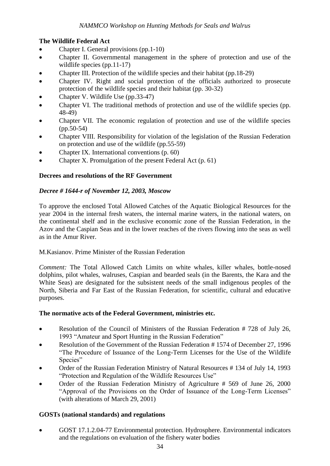## **The Wildlife Federal Act**

- Chapter I. General provisions (pp.1-10)
- Chapter II. Governmental management in the sphere of protection and use of the wildlife species (pp.11-17)
- Chapter III. Protection of the wildlife species and their habitat (pp.18-29)
- Chapter IV. Right and social protection of the officials authorized to prosecute protection of the wildlife species and their habitat (pp. 30-32)
- Chapter V. Wildlife Use (pp.33-47)
- Chapter VI. The traditional methods of protection and use of the wildlife species (pp. 48-49)
- Chapter VII. The economic regulation of protection and use of the wildlife species (pp.50-54)
- Chapter VIII. Responsibility for violation of the legislation of the Russian Federation on protection and use of the wildlife (pp.55-59)
- Chapter IX. International conventions (p. 60)
- Chapter X. Promulgation of the present Federal Act (p. 61)

## **Decrees and resolutions of the RF Government**

## *Decree # 1644-r of November 12, 2003, Moscow*

To approve the enclosed Total Allowed Catches of the Aquatic Biological Resources for the year 2004 in the internal fresh waters, the internal marine waters, in the national waters, on the continental shelf and in the exclusive economic zone of the Russian Federation, in the Azov and the Caspian Seas and in the lower reaches of the rivers flowing into the seas as well as in the Amur River.

## M.Kasianov. Prime Minister of the Russian Federation

*Comment:* The Total Allowed Catch Limits on white whales, killer whales, bottle-nosed dolphins, pilot whales, walruses, Caspian and bearded seals (in the Barents, the Kara and the White Seas) are designated for the subsistent needs of the small indigenous peoples of the North, Siberia and Far East of the Russian Federation, for scientific, cultural and educative purposes.

## **The normative acts of the Federal Government, ministries etc.**

- Resolution of the Council of Ministers of the Russian Federation # 728 of July 26, 1993 "Amateur and Sport Hunting in the Russian Federation"
- Resolution of the Government of the Russian Federation # 1574 of December 27, 1996 "The Procedure of Issuance of the Long-Term Licenses for the Use of the Wildlife Species"
- Order of the Russian Federation Ministry of Natural Resources # 134 of July 14, 1993 "Protection and Regulation of the Wildlife Resources Use"
- Order of the Russian Federation Ministry of Agriculture # 569 of June 26, 2000 "Approval of the Provisions on the Order of Issuance of the Long-Term Licenses" (with alterations of March 29, 2001)

## **GOSTs (national standards) and regulations**

 GOST 17.1.2.04-77 Environmental protection. Hydrosphere. Environmental indicators and the regulations on evaluation of the fishery water bodies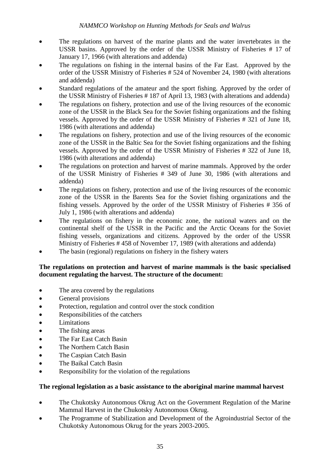- The regulations on harvest of the marine plants and the water invertebrates in the USSR basins. Approved by the order of the USSR Ministry of Fisheries # 17 of January 17, 1966 (with alterations and addenda)
- The regulations on fishing in the internal basins of the Far East. Approved by the order of the USSR Ministry of Fisheries # 524 of November 24, 1980 (with alterations and addenda)
- Standard regulations of the amateur and the sport fishing. Approved by the order of the USSR Ministry of Fisheries # 187 of April 13, 1983 (with alterations and addenda)
- The regulations on fishery, protection and use of the living resources of the economic zone of the USSR in the Black Sea for the Soviet fishing organizations and the fishing vessels. Approved by the order of the USSR Ministry of Fisheries # 321 of June 18, 1986 (with alterations and addenda)
- The regulations on fishery, protection and use of the living resources of the economic zone of the USSR in the Baltic Sea for the Soviet fishing organizations and the fishing vessels. Approved by the order of the USSR Ministry of Fisheries # 322 of June 18, 1986 (with alterations and addenda)
- The regulations on protection and harvest of marine mammals. Approved by the order of the USSR Ministry of Fisheries # 349 of June 30, 1986 (with alterations and addenda)
- The regulations on fishery, protection and use of the living resources of the economic zone of the USSR in the Barents Sea for the Soviet fishing organizations and the fishing vessels. Approved by the order of the USSR Ministry of Fisheries # 356 of July 1, 1986 (with alterations and addenda)
- The regulations on fishery in the economic zone, the national waters and on the continental shelf of the USSR in the Pacific and the Arctic Oceans for the Soviet fishing vessels, organizations and citizens. Approved by the order of the USSR Ministry of Fisheries # 458 of November 17, 1989 (with alterations and addenda)
- The basin (regional) regulations on fishery in the fishery waters

## **The regulations on protection and harvest of marine mammals is the basic specialised document regulating the harvest. The structure of the document:**

- The area covered by the regulations
- General provisions
- Protection, regulation and control over the stock condition
- Responsibilities of the catchers
- Limitations
- The fishing areas
- The Far East Catch Basin
- The Northern Catch Basin
- The Caspian Catch Basin
- The Baikal Catch Basin
- Responsibility for the violation of the regulations

## **The regional legislation as a basic assistance to the aboriginal marine mammal harvest**

- The Chukotsky Autonomous Okrug Act on the Government Regulation of the Marine Mammal Harvest in the Chukotsky Autonomous Okrug.
- The Programme of Stabilization and Development of the Agroindustrial Sector of the Chukotsky Autonomous Okrug for the years 2003-2005.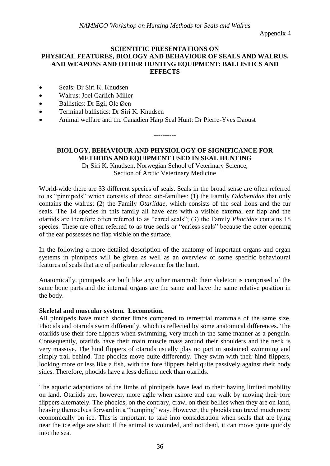Appendix 4

#### **SCIENTIFIC PRESENTATIONS ON PHYSICAL FEATURES, BIOLOGY AND BEHAVIOUR OF SEALS AND WALRUS, AND WEAPONS AND OTHER HUNTING EQUIPMENT: BALLISTICS AND EFFECTS**

- Seals: Dr Siri K. Knudsen
- Walrus: Joel Garlich-Miller
- Ballistics: Dr Egil Ole Øen
- Terminal ballistics: Dr Siri K. Knudsen
- Animal welfare and the Canadien Harp Seal Hunt: Dr Pierre-Yves Daoust

**BIOLOGY, BEHAVIOUR AND PHYSIOLOGY OF SIGNIFICANCE FOR METHODS AND EQUIPMENT USED IN SEAL HUNTING**

**----------**

Dr Siri K. Knudsen, Norwegian School of Veterinary Science, Section of Arctic Veterinary Medicine

World-wide there are 33 different species of seals. Seals in the broad sense are often referred to as "pinnipeds" which consists of three sub-families: (1) the Family *Odobenidae* that only contains the walrus; (2) the Family *Otariidae*, which consists of the seal lions and the fur seals. The 14 species in this family all have ears with a visible external ear flap and the otariids are therefore often referred to as "eared seals"; (3) the Family *Phocidae* contains 18 species. These are often referred to as true seals or "earless seals" because the outer opening of the ear possesses no flap visible on the surface.

In the following a more detailed description of the anatomy of important organs and organ systems in pinnipeds will be given as well as an overview of some specific behavioural features of seals that are of particular relevance for the hunt.

Anatomically, pinnipeds are built like any other mammal: their skeleton is comprised of the same bone parts and the internal organs are the same and have the same relative position in the body.

#### **Skeletal and muscular system. Locomotion.**

All pinnipeds have much shorter limbs compared to terrestrial mammals of the same size. Phocids and otariids swim differently, which is reflected by some anatomical differences. The otariids use their fore flippers when swimming, very much in the same manner as a penguin. Consequently, otariids have their main muscle mass around their shoulders and the neck is very massive. The hind flippers of otariids usually play no part in sustained swimming and simply trail behind. The phocids move quite differently. They swim with their hind flippers, looking more or less like a fish, with the fore flippers held quite passively against their body sides. Therefore, phocids have a less defined neck than otariids.

The aquatic adaptations of the limbs of pinnipeds have lead to their having limited mobility on land. Otariids are, however, more agile when ashore and can walk by moving their fore flippers alternately. The phocids, on the contrary, crawl on their bellies when they are on land, heaving themselves forward in a "humping" way. However, the phocids can travel much more economically on ice. This is important to take into consideration when seals that are lying near the ice edge are shot: If the animal is wounded, and not dead, it can move quite quickly into the sea.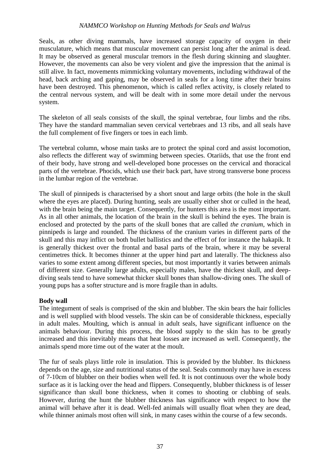Seals, as other diving mammals, have increased storage capacity of oxygen in their musculature, which means that muscular movement can persist long after the animal is dead. It may be observed as general muscular tremors in the flesh during skinning and slaughter. However, the movements can also be very violent and give the impression that the animal is still alive. In fact, movements mimmicking voluntary movements, including withdrawal of the head, back arching and gaping, may be observed in seals for a long time after their brains have been destroyed. This phenomenon, which is called reflex activity, is closely related to the central nervous system, and will be dealt with in some more detail under the nervous system.

The skeleton of all seals consists of the skull, the spinal vertebrae, four limbs and the ribs. They have the standard mammalian seven cervical vertebraes and 13 ribs, and all seals have the full complement of five fingers or toes in each limb.

The vertebral column, whose main tasks are to protect the spinal cord and assist locomotion, also reflects the different way of swimming between species. Otariids, that use the front end of their body, have strong and well-developed bone processes on the cervical and thoracical parts of the vertebrae. Phocids, which use their back part, have strong transverse bone process in the lumbar region of the vertebrae.

The skull of pinnipeds is characterised by a short snout and large orbits (the hole in the skull where the eyes are placed). During hunting, seals are usually either shot or culled in the head, with the brain being the main target. Consequently, for hunters this area is the most important. As in all other animals, the location of the brain in the skull is behind the eyes. The brain is enclosed and protected by the parts of the skull bones that are called *the cranium*, which in pinnipeds is large and rounded. The thickness of the cranium varies in different parts of the skull and this may inflict on both bullet ballistics and the effect of for instance the hakapik. It is generally thickest over the frontal and basal parts of the brain, where it may be several centimetres thick. It becomes thinner at the upper hind part and laterally. The thickness also varies to some extent among different species, but most importantly it varies between animals of different size. Generally large adults, especially males, have the thickest skull, and deepdiving seals tend to have somewhat thicker skull bones than shallow-diving ones. The skull of young pups has a softer structure and is more fragile than in adults.

#### **Body wall**

The integument of seals is comprised of the skin and blubber. The skin bears the hair follicles and is well supplied with blood vessels. The skin can be of considerable thickness, especially in adult males. Moulting, which is annual in adult seals, have significant influence on the animals behaviour. During this process, the blood supply to the skin has to be greatly increased and this inevitably means that heat losses are increased as well. Consequently, the animals spend more time out of the water at the moult.

The fur of seals plays little role in insulation. This is provided by the blubber. Its thickness depends on the age, size and nutritional status of the seal. Seals commonly may have in excess of 7-10cm of blubber on their bodies when well fed. It is not continuous over the whole body surface as it is lacking over the head and flippers. Consequently, blubber thickness is of lesser significance than skull bone thickness, when it comes to shooting or clubbing of seals. However, during the hunt the blubber thickness has significance with respect to how the animal will behave after it is dead. Well-fed animals will usually float when they are dead, while thinner animals most often will sink, in many cases within the course of a few seconds.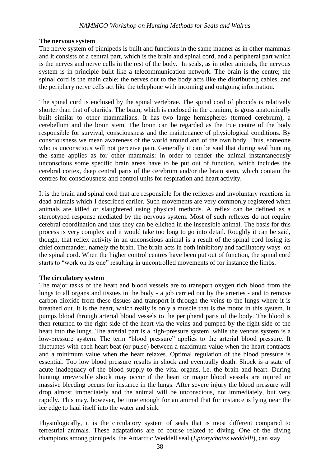#### **The nervous system**

The nerve system of pinnipeds is built and functions in the same manner as in other mammals and it consists of a central part, which is the brain and spinal cord, and a peripheral part which is the nerves and nerve cells in the rest of the body. In seals, as in other animals, the nervous system is in principle built like a telecommunication network. The brain is the centre; the spinal cord is the main cable; the nerves out to the body acts like the distributing cables, and the periphery nerve cells act like the telephone with incoming and outgoing information.

The spinal cord is enclosed by the spinal vertebrae. The spinal cord of phocids is relatively shorter than that of otariids. The brain, which is enclosed in the cranium, is gross anatomically built similar to other mammalians. It has two large hemispheres (termed cerebrum), a cerebellum and the brain stem. The brain can be regarded as the true centre of the body responsible for survival, consciousness and the maintenance of physiological conditions. By consciousness we mean awareness of the world around and of the own body. Thus, someone who is unconscious will not perceive pain. Generally it can be said that during seal hunting the same applies as for other mammals: in order to render the animal instantaneously unconscious some specific brain areas have to be put out of function, which includes the cerebral cortex, deep central parts of the cerebrum and/or the brain stem, which contain the centres for consciousness and control units for respiration and heart activity.

It is the brain and spinal cord that are responsible for the reflexes and involuntary reactions in dead animals which I described earlier. Such movements are very commonly registered when animals are killed or slaughtered using physical methods. A reflex can be defined as a stereotyped response mediated by the nervous system. Most of such reflexes do not require cerebral coordination and thus they can be elicited in the insensible animal. The basis for this process is very complex and it would take too long to go into detail. Roughly it can be said, though, that reflex activity in an unconscious animal is a result of the spinal cord losing its chief commander, namely the brain. The brain acts in both inhibitory and facilitatory ways on the spinal cord. When the higher control centres have been put out of function, the spinal cord starts to "work on its one" resulting in uncontrolled movements of for instance the limbs.

#### **The circulatory system**

The major tasks of the heart and blood vessels are to transport oxygen rich blood from the lungs to all organs and tissues in the body - a job carried out by the arteries - and to remove carbon dioxide from these tissues and transport it through the veins to the lungs where it is breathed out. It is the heart, which really is only a muscle that is the motor in this system. It pumps blood through arterial blood vessels to the peripheral parts of the body. The blood is then returned to the right side of the heart via the veins and pumped by the right side of the heart into the lungs. The arterial part is a high-pressure system, while the venous system is a low-pressure system. The term "blood pressure" applies to the arterial blood pressure. It fluctuates with each heart beat (or pulse) between a maximum value when the heart contracts and a minimum value when the heart relaxes. Optimal regulation of the blood pressure is essential. Too low blood pressure results in shock and eventually death. Shock is a state of acute inadequacy of the blood supply to the vital organs, i.e. the brain and heart. During hunting irreversible shock may occur if the heart or major blood vessels are injured or massive bleeding occurs for instance in the lungs. After severe injury the blood pressure will drop almost immediately and the animal will be unconscious, not immediately, but very rapidly. This may, however, be time enough for an animal that for instance is lying near the ice edge to haul itself into the water and sink.

Physiologically, it is the circulatory system of seals that is most different compared to terrestrial animals. These adaptations are of course related to diving. One of the diving champions among pinnipeds, the Antarctic Weddell seal (*Eptonychotes weddelli*), can stay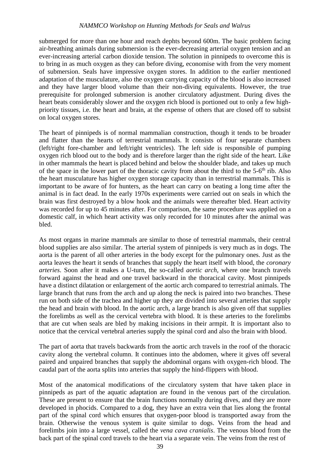submerged for more than one hour and reach dephts beyond 600m. The basic problem facing air-breathing animals during submersion is the ever-decreasing arterial oxygen tension and an ever-increasing arterial carbon dioxide tension. The solution in pinnipeds to overcome this is to bring in as much oxygen as they can before diving, economise with from the very moment of submersion. Seals have impressive oxygen stores. In addition to the earlier mentioned adaptation of the musculature, also the oxygen carrying capacity of the blood is also increased and they have larger blood volume than their non-diving equivalents. However, the true prerequisite for prolonged submersion is another circulatory adjustment. During dives the heart beats considerably slower and the oxygen rich blood is portioned out to only a few highpriority tissues, i.e. the heart and brain, at the expense of others that are closed off to subsist on local oxygen stores.

The heart of pinnipeds is of normal mammalian construction, though it tends to be broader and flatter than the hearts of terrestrial mammals. It consists of four separate chambers (left/right fore-chamber and left/right ventricles). The left side is responsible of pumping oxygen rich blood out to the body and is therefore larger than the right side of the heart. Like in other mammals the heart is placed behind and below the shoulder blade, and takes up much of the space in the lower part of the thoracic cavity from about the third to the 5-6<sup>th</sup> rib. Also the heart musculature has higher oxygen storage capacity than in terrestrial mammals. This is important to be aware of for hunters, as the heart can carry on beating a long time after the animal is in fact dead. In the early 1970s experiments were carried out on seals in which the brain was first destroyed by a blow hook and the animals were thereafter bled. Heart activity was recorded for up to 45 minutes after. For comparison, the same procedure was applied on a domestic calf, in which heart activity was only recorded for 10 minutes after the animal was bled.

As most organs in marine mammals are similar to those of terrestrial mammals, their central blood supplies are also similar. The arterial system of pinnipeds is very much as in dogs. The aorta is the parent of all other arteries in the body except for the pulmonary ones. Just as the aorta leaves the heart it sends of branches that supply the heart itself with blood, the *coronary arteries*. Soon after it makes a U-turn, the so-called *aortic arch*, where one branch travels forward against the head and one travel backward in the thoracical cavity. Most pinnipeds have a distinct dilatation or enlargement of the aortic arch compared to terrestrial animals. The large branch that runs from the arch and up along the neck is paired into two branches. These run on both side of the trachea and higher up they are divided into several arteries that supply the head and brain with blood. In the aortic arch, a large branch is also given off that supplies the forelimbs as well as the cervical vertebra with blood. It is these arteries to the forelimbs that are cut when seals are bled by making incisions in their armpit. It is important also to notice that the cervical vertebral arteries supply the spinal cord and also the brain with blood.

The part of aorta that travels backwards from the aortic arch travels in the roof of the thoracic cavity along the vertebral column. It continues into the abdomen, where it gives off several paired and unpaired branches that supply the abdominal organs with oxygen-rich blood. The caudal part of the aorta splits into arteries that supply the hind-flippers with blood.

Most of the anatomical modifications of the circulatory system that have taken place in pinnipeds as part of the aquatic adaptation are found in the venous part of the circulation. These are present to ensure that the brain functions normally during dives, and they are more developed in phocids. Compared to a dog, they have an extra vein that lies along the frontal part of the spinal cord which ensures that oxygen-poor blood is transported away from the brain. Otherwise the venous system is quite similar to dogs. Veins from the head and forelimbs join into a large vessel, called the *vena cava cranialis*. The venous blood from the back part of the spinal cord travels to the heart via a separate vein. The veins from the rest of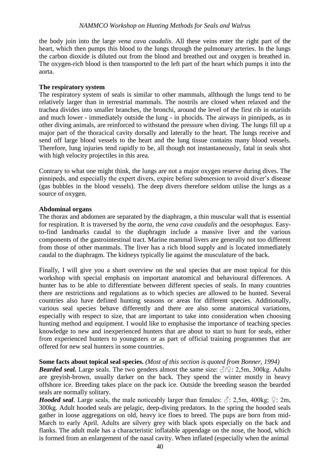the body join into the large *vena cava caudalis*. All these veins enter the right part of the heart, which then pumps this blood to the lungs through the pulmonary arteries. In the lungs the carbon dioxide is diluted out from the blood and breathed out and oxygen is breathed in. The oxygen-rich blood is then transported to the left part of the heart which pumps it into the aorta.

#### **The respiratory system**

The respiratory system of seals is similar to other mammals, allthough the lungs tend to be relatively larger than in terrestrial mammals. The nostrils are closed when relaxed and the trachea divides into smaller branches, the bronchi, around the level of the first rib in otariids and much lower - immediately outside the lung - in phocids. The airways in pinnipeds, as in other diving animals, are reinforced to withstand the pressure when diving. The lungs fill up a major part of the thoracical cavity dorsally and laterally to the heart. The lungs receive and send off large blood vessels to the heart and the lung tissue contains many blood vessels. Therefore, lung injuries tend rapidly to be, all though not instantaneously, fatal in seals shot with high velocity projectiles in this area.

Contrary to what one might think, the lungs are not a major oxygen reserve during dives. The pinnipeds, and especially the expert divers, expire before submersion to avoid diver's disease (gas bubbles in the blood vessels). The deep divers therefore seldom utilise the lungs as a source of oxygen.

#### **Abdominal organs**

The thorax and abdomen are separated by the diaphragm, a thin muscular wall that is essential for respiration. It is traversed by the *aorta*, the *vena cava caudalis* and the *oesophagus*. Easyto-find landmarks caudal to the diaphragm include a massive liver and the various components of the gastrointestinal tract. Marine mammal livers are generally not too different from those of other mammals. The liver has a rich blood supply and is located immediately caudal to the diaphragm. The kidneys typically lie against the musculature of the back.

Finally, I will give you a short overview on the seal species that are most topical for this workshop with special emphasis on important anatomical and behavioural differences. A hunter has to be able to differentiate between different species of seals. In many countries there are restrictions and regulations as to which species are allowed to be hunted. Several countries also have defined hunting seasons or areas for different species. Additionally, various seal species behave differently and there are also some anatomical variations, especially with respect to size, that are important to take into consideration when choosing hunting method and equipment. I would like to emphasise the importance of teaching species knowledge to new and inexperienced hunters that are about to start to hunt for seals, either from experienced hunters to youngsters or as part of official training programmes that are offered for new seal hunters in some countries.

## **Some facts about topical seal species.** *(Most of this section is quoted from Bonner, 1994)*

*Bearded seal.* Large seals. The two genders almost the same size:  $\sqrt{2}$ ? 2,5m, 300kg. Adults are greyish-brown, usually darker on the back. They spend the winter mostly in heavy offshore ice. Breeding takes place on the pack ice. Outside the breeding season the bearded seals are normally solitary.

*Hooded seal*. Large seals, the male noticeably larger than females:  $\Diamond$ : 2,5m, 400kg;  $\Diamond$ : 2m, 300kg. Adult hooded seals are pelagic, deep-diving predators. In the spring the hooded seals gather in loose aggregations on old, heavy ice floes to breed. The pups are born from mid-March to early April. Adults are silvery grey with black spots especially on the back and flanks. The adult male has a characteristic inflatable appendage on the nose, the hood, which is formed from an enlargement of the nasal cavity. When inflated (especially when the animal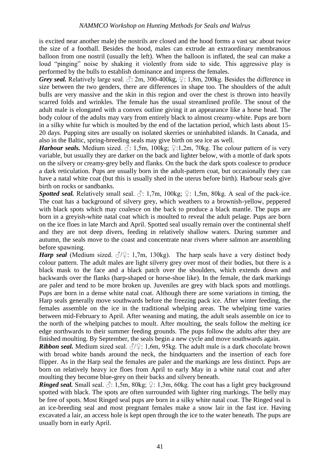is excited near another male) the nostrils are closed and the hood forms a vast sac about twice the size of a football. Besides the hood, males can extrude an extraordinary membranous balloon from one nostril (usually the left). When the balloon is inflated, the seal can make a loud "pinging" noise by shaking it violently from side to side. This aggressive play is performed by the bulls to establish dominance and impress the females.

*Grey seal.* Relatively large seal.  $\Diamond$ : 2m, 300-400kg,  $\Diamond$ : 1,8m, 200kg. Besides the difference in size between the two genders, there are differences in shape too. The shoulders of the adult bulls are very massive and the skin in this region and over the chest is thrown into heavily scarred folds and wrinkles. The female has the usual streamlined profile. The snout of the adult male is elongated with a convex outline giving it an appearance like a horse head. The body colour of the adults may vary from entirely black to almost creamy-white. Pups are born in a silky white fur which is moulted by the end of the lactation period, which lasts about 15- 20 days. Pupping sites are usually on isolated skerries or uninhabited islands. In Canada, and also in the Baltic, spring-breeding seals may give birth on sea ice as well.

*Harbour seals.* Medium sized.  $\sqrt{3}$ : 1,5m, 100kg;  $\sqrt{2}$ :1,2m, 70kg. The colour pattern of is very variable, but usually they are darker on the back and lighter below, with a mottle of dark spots on the silvery or creamy-grey belly and flanks. On the back the dark spots coalesce to produce a dark reticulation. Pups are usually born in the adult-pattern coat, but occasionally they can have a natal white coat (but this is usually shed in the uterus before birth). Harbour seals give birth on rocks or sandbanks.

*Spotted seal.* Relatively small seal.  $\beta$ : 1,7m, 100kg;  $\varphi$ : 1,5m, 80kg. A seal of the pack-ice. The coat has a background of silvery grey, which weathers to a brownish-yellow, peppered with black spots which may coalesce on the back to produce a black mantle. The pups are born in a greyish-white natal coat which is moulted to reveal the adult pelage. Pups are born on the ice floes in late March and April. Spotted seal usually remain over the continental shelf and they are not deep divers, feeding in relatively shallow waters. During summer and autumn, the seals move to the coast and concentrate near rivers where salmon are assembling before spawning.

*Harp seal* (Medium sized.  $\sqrt{2}$ : 1,7m, 130kg). The harp seals have a very distinct body colour pattern. The adult males are light silvery grey over most of their bodies, but there is a black mask to the face and a black patch over the shoulders, which extends down and backwards over the flanks (harp-shaped or horse-shoe like). In the female, the dark markings are paler and tend to be more broken up. Juveniles are grey with black spots and mottlings. Pups are born in a dense white natal coat. Although there are some variations in timing, the Harp seals generally move southwards before the freezing pack ice. After winter feeding, the females assemble on the ice in the traditional whelping areas. The whelping time varies between mid-February to April. After weaning and mating, the adult seals assemble on ice to the north of the whelping patches to moult. After moulting, the seals follow the melting ice edge northwards to their summer feeding grounds. The pups follow the adults after they are finished moulting. By September, the seals begin a new cycle and move southwards again.

*Ribbon seal.* Medium sized seal.  $\partial$ / $\partial$ : 1,6m, 95kg. The adult male is a dark chocolate brown with broad white bands around the neck, the hindquarters and the insertion of each fore flipper. As in the Harp seal the females are paler and the markings are less distinct. Pups are born on relatively heavy ice floes from April to early May in a white natal coat and after moulting they become blue-grey on their backs and silvery beneath.

*Ringed seal.* Small seal.  $\Diamond$ : 1,5m, 80kg;  $\Diamond$ : 1,3m, 60kg. The coat has a light grey background spotted with black. The spots are often surrounded with lighter ring markings. The belly may be free of spots. Most Ringed seal pups are born in a silky white natal coat. The Ringed seal is an ice-breeding seal and most pregnant females make a snow lair in the fast ice. Having excavated a lair, an access hole is kept open through the ice to the water beneath. The pups are usually born in early April.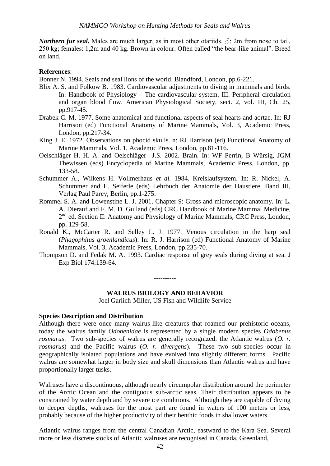*Northern fur seal.* Males are much larger, as in most other otariids.  $\hat{\beta}$ : 2m from nose to tail, 250 kg; females: 1,2m and 40 kg. Brown in colour. Often called "the bear-like animal". Breed on land.

#### **References**:

Bonner N. 1994. Seals and seal lions of the world. Blandford, London, pp.6-221.

- Blix A. S. and Folkow B. 1983. Cardiovascular adjustments to diving in mammals and birds. In: Handbook of Physiology – The cardiovascular system. III. Peripheral circulation and organ blood flow. American Physiological Society, sect. 2, vol. III, Ch. 25, pp.917-45.
- Drabek C. M. 1977. Some anatomical and functional aspects of seal hearts and aortae. In: RJ Harrison (ed) Functional Anatomy of Marine Mammals, Vol. 3, Academic Press, London, pp.217-34.
- King J. E. 1972. Observations on phocid skulls. n: RJ Harrison (ed) Functional Anatomy of Marine Mammals, Vol. 1, Academic Press, London, pp.81-116.
- Oelschläger H. H. A. and Oelschläger J.S. 2002. Brain. In: WF Perrin, B Würsig, JGM Thewissen (eds) Encyclopedia of Marine Mammals, Academic Press, London, pp. 133-58.
- Schummer A., Wilkens H. Vollmerhaus *et al.* 1984. Kreislaufsystem. In: R. Nickel, A. Schummer and E. Seiferle (eds) Lehrbuch der Anatomie der Haustiere, Band III, Verlag Paul Parey, Berlin, pp.1-275.
- Rommel S. A. and Lowenstine L. J. 2001. Chapter 9: Gross and microscopic anatomy. In: L. A. Dierauf and F. M. D. Gulland (eds) CRC Handbook of Marine Mammal Medicine, 2<sup>nd</sup> ed. Section II: Anatomy and Physiology of Marine Mammals, CRC Press, London, pp. 129-58.
- Ronald K., McCarter R. and Selley L. J. 1977. Venous circulation in the harp seal (*Phagophilus groenlandicus*). In: R. J. Harrison (ed) Functional Anatomy of Marine Mammals, Vol. 3, Academic Press, London, pp.235-70.
- Thompson D. and Fedak M. A. 1993. Cardiac response of grey seals during diving at sea. J Exp Biol 174:139-64.

#### **WALRUS BIOLOGY AND BEHAVIOR**

----------

Joel Garlich-Miller, US Fish and Wildlife Service

#### **Species Description and Distribution**

Although there were once many walrus-like creatures that roamed our prehistoric oceans, today the walrus family *Odobenidae* is represented by a single modern species *Odobenus rosmarus*. Two sub-species of walrus are generally recognized: the Atlantic walrus (*O. r. rosmarus*) and the Pacific walrus (*O. r. divergens*). These two sub-species occur in geographically isolated populations and have evolved into slightly different forms. Pacific walrus are somewhat larger in body size and skull dimensions than Atlantic walrus and have proportionally larger tusks.

Walruses have a discontinuous, although nearly circumpolar distribution around the perimeter of the Arctic Ocean and the contiguous sub-arctic seas. Their distribution appears to be constrained by water depth and by severe ice conditions. Although they are capable of diving to deeper depths, walruses for the most part are found in waters of 100 meters or less, probably because of the higher productivity of their benthic foods in shallower waters.

Atlantic walrus ranges from the central Canadian Arctic, eastward to the Kara Sea. Several more or less discrete stocks of Atlantic walruses are recognised in Canada, Greenland,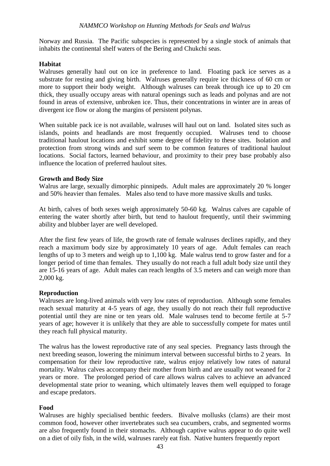Norway and Russia. The Pacific subspecies is represented by a single stock of animals that inhabits the continental shelf waters of the Bering and Chukchi seas.

#### **Habitat**

Walruses generally haul out on ice in preference to land. Floating pack ice serves as a substrate for resting and giving birth. Walruses generally require ice thickness of 60 cm or more to support their body weight. Although walruses can break through ice up to 20 cm thick, they usually occupy areas with natural openings such as leads and polynas and are not found in areas of extensive, unbroken ice. Thus, their concentrations in winter are in areas of divergent ice flow or along the margins of persistent polynas.

When suitable pack ice is not available, walruses will haul out on land. Isolated sites such as islands, points and headlands are most frequently occupied. Walruses tend to choose traditional haulout locations and exhibit some degree of fidelity to these sites. Isolation and protection from strong winds and surf seem to be common features of traditional haulout locations. Social factors, learned behaviour, and proximity to their prey base probably also influence the location of preferred haulout sites.

#### **Growth and Body Size**

Walrus are large, sexually dimorphic pinnipeds. Adult males are approximately 20 % longer and 50% heavier than females. Males also tend to have more massive skulls and tusks.

At birth, calves of both sexes weigh approximately 50-60 kg. Walrus calves are capable of entering the water shortly after birth, but tend to haulout frequently, until their swimming ability and blubber layer are well developed.

After the first few years of life, the growth rate of female walruses declines rapidly, and they reach a maximum body size by approximately 10 years of age. Adult females can reach lengths of up to 3 meters and weigh up to 1,100 kg. Male walrus tend to grow faster and for a longer period of time than females. They usually do not reach a full adult body size until they are 15-16 years of age. Adult males can reach lengths of 3.5 meters and can weigh more than 2,000 kg.

## **Reproduction**

Walruses are long-lived animals with very low rates of reproduction. Although some females reach sexual maturity at 4-5 years of age, they usually do not reach their full reproductive potential until they are nine or ten years old. Male walruses tend to become fertile at 5-7 years of age; however it is unlikely that they are able to successfully compete for mates until they reach full physical maturity.

The walrus has the lowest reproductive rate of any seal species. Pregnancy lasts through the next breeding season, lowering the minimum interval between successful births to 2 years. In compensation for their low reproductive rate, walrus enjoy relatively low rates of natural mortality. Walrus calves accompany their mother from birth and are usually not weaned for 2 years or more. The prolonged period of care allows walrus calves to achieve an advanced developmental state prior to weaning, which ultimately leaves them well equipped to forage and escape predators.

## **Food**

Walruses are highly specialised benthic feeders. Bivalve mollusks (clams) are their most common food, however other invertebrates such sea cucumbers, crabs, and segmented worms are also frequently found in their stomachs. Although captive walrus appear to do quite well on a diet of oily fish, in the wild, walruses rarely eat fish. Native hunters frequently report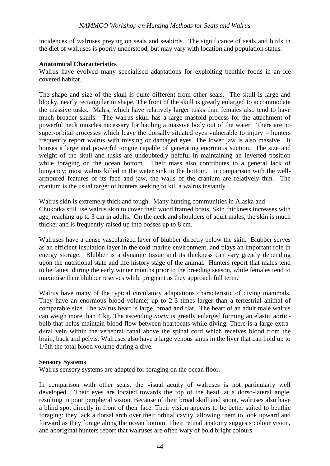incidences of walruses preying on seals and seabirds. The significance of seals and birds in the diet of walruses is poorly understood, but may vary with location and population status.

#### **Anatomical Characteristics**

Walrus have evolved many specialised adaptations for exploiting benthic foods in an ice covered habitat.

The shape and size of the skull is quite different from other seals. The skull is large and blocky, nearly rectangular in shape. The front of the skull is greatly enlarged to accommodate the massive tusks. Males, which have relatively larger tusks than females also tend to have much broader skulls. The walrus skull has a large mastoid process for the attachment of powerful neck muscles necessary for hauling a massive body out of the water. There are no super-orbital processes which leave the dorsally situated eyes vulnerable to injury – hunters frequently report walrus with missing or damaged eyes. The lower jaw is also massive. It houses a large and powerful tongue capable of generating enormous suction. The size and weight of the skull and tusks are undoubtedly helpful in maintaining an inverted position while foraging on the ocean bottom. Their mass also contributes to a general lack of buoyancy; most walrus killed in the water sink to the bottom. In comparison with the wellarmoured features of its face and jaw, the walls of the cranium are relatively thin. The cranium is the usual target of hunters seeking to kill a walrus instantly.

Walrus skin is extremely thick and tough. Many hunting communities in Alaska and Chukotka still use walrus skin to cover their wood framed boats. Skin thickness increases with age, reaching up to 3 cm in adults. On the neck and shoulders of adult males, the skin is much thicker and is frequently raised up into bosses up to 8 cm.

Walruses have a dense vascularized layer of blubber directly below the skin. Blubber serves as an efficient insulation layer in the cold marine environment, and plays an important role in energy storage. Blubber is a dynamic tissue and its thickness can vary greatly depending upon the nutritional state and life history stage of the animal. Hunters report that males tend to be fattest during the early winter months prior to the breeding season, while females tend to maximise their blubber reserves while pregnant as they approach full term.

Walrus have many of the typical circulatory adaptations characteristic of diving mammals. They have an enormous blood volume; up to 2-3 times larger than a terrestrial animal of comparable size. The walrus heart is large, broad and flat. The heart of an adult male walrus can weigh more than 4 kg. The ascending *aorta* is greatly enlarged forming an elastic aorticbulb that helps maintain blood flow between heartbeats while diving. There is a large extradural vein within the vertebral canal above the spinal cord which receives blood from the brain, back and pelvis. Walruses also have a large venous sinus in the liver that can hold up to 1/5th the total blood volume during a dive.

#### **Sensory Systems**

Walrus sensory systems are adapted for foraging on the ocean floor.

In comparison with other seals, the visual acuity of walruses is not particularly well developed. Their eyes are located towards the top of the head, at a dorso-lateral angle, resulting in poor peripheral vision. Because of their broad skull and snout, walruses also have a blind spot directly in front of their face. Their vision appears to be better suited to benthic foraging: they lack a dorsal arch over their orbital cavity, allowing them to look upward and forward as they forage along the ocean bottom. Their retinal anatomy suggests colour vision, and aboriginal hunters report that walruses are often wary of bold bright colours.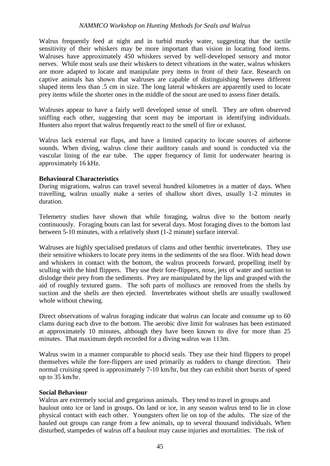Walrus frequently feed at night and in turbid murky water, suggesting that the tactile sensitivity of their whiskers may be more important than vision in locating food items. Walruses have approximately 450 whiskers served by well-developed sensory and motor nerves. While most seals use their whiskers to detect vibrations in the water, walrus whiskers are more adapted to locate and manipulate prey items in front of their face. Research on captive animals has shown that walruses are capable of distinguishing between different shaped items less than .5 cm in size. The long lateral whiskers are apparently used to locate prey items while the shorter ones in the middle of the snout are used to assess finer details.

Walruses appear to have a fairly well developed sense of smell. They are often observed sniffing each other, suggesting that scent may be important in identifying individuals. Hunters also report that walrus frequently react to the smell of fire or exhaust.

Walrus lack external ear flaps, and have a limited capacity to locate sources of airborne sounds. When diving, walrus close their auditory canals and sound is conducted via the vascular lining of the ear tube. The upper frequency of limit for underwater hearing is approximately 16 kHz.

#### **Behavioural Characteristics**

During migrations, walrus can travel several hundred kilometres in a matter of days. When travelling, walrus usually make a series of shallow short dives, usually 1-2 minutes in duration.

Telemetry studies have shown that while foraging, walrus dive to the bottom nearly continuously. Foraging bouts can last for several days. Most foraging dives to the bottom last between 5-10 minutes, with a relatively short (1-2 minute) surface interval.

Walruses are highly specialised predators of clams and other benthic invertebrates.They use their sensitive whiskers to locate prey items in the sediments of the sea floor. With head down and whiskers in contact with the bottom, the walrus proceeds forward, propelling itself by sculling with the hind flippers. They use their fore-flippers, nose, jets of water and suction to dislodge their prey from the sediments. Prey are manipulated by the lips and grasped with the aid of roughly textured gums. The soft parts of molluscs are removed from the shells by suction and the shells are then ejected. Invertebrates without shells are usually swallowed whole without chewing.

Direct observations of walrus foraging indicate that walrus can locate and consume up to 60 clams during each dive to the bottom. The aerobic dive limit for walruses has been estimated at approximately 10 minutes, although they have been known to dive for more than 25 minutes. That maximum depth recorded for a diving walrus was 113m.

Walrus swim in a manner comparable to phocid seals. They use their hind flippers to propel themselves while the fore-flippers are used primarily as rudders to change direction. Their normal cruising speed is approximately 7-10 km/hr, but they can exhibit short bursts of speed up to 35 km/hr.

#### **Social Behaviour**

Walrus are extremely social and gregarious animals. They tend to travel in groups and haulout onto ice or land in groups. On land or ice, in any season walrus tend to lie in close physical contact with each other. Youngsters often lie on top of the adults. The size of the hauled out groups can range from a few animals, up to several thousand individuals. When disturbed, stampedes of walrus off a haulout may cause injuries and mortalities. The risk of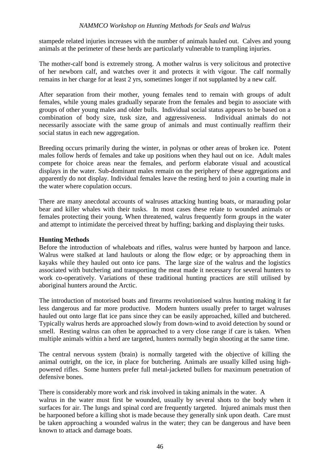stampede related injuries increases with the number of animals hauled out. Calves and young animals at the perimeter of these herds are particularly vulnerable to trampling injuries.

The mother-calf bond is extremely strong. A mother walrus is very solicitous and protective of her newborn calf, and watches over it and protects it with vigour. The calf normally remains in her charge for at least 2 yrs, sometimes longer if not supplanted by a new calf.

After separation from their mother, young females tend to remain with groups of adult females, while young males gradually separate from the females and begin to associate with groups of other young males and older bulls. Individual social status appears to be based on a combination of body size, tusk size, and aggressiveness. Individual animals do not necessarily associate with the same group of animals and must continually reaffirm their social status in each new aggregation.

Breeding occurs primarily during the winter, in polynas or other areas of broken ice. Potent males follow herds of females and take up positions when they haul out on ice. Adult males compete for choice areas near the females, and perform elaborate visual and acoustical displays in the water. Sub-dominant males remain on the periphery of these aggregations and apparently do not display. Individual females leave the resting herd to join a courting male in the water where copulation occurs.

There are many anecdotal accounts of walruses attacking hunting boats, or marauding polar bear and killer whales with their tusks. In most cases these relate to wounded animals or females protecting their young. When threatened, walrus frequently form groups in the water and attempt to intimidate the perceived threat by huffing; barking and displaying their tusks.

## **Hunting Methods**

Before the introduction of whaleboats and rifles, walrus were hunted by harpoon and lance. Walrus were stalked at land haulouts or along the flow edge; or by approaching them in kayaks while they hauled out onto ice pans. The large size of the walrus and the logistics associated with butchering and transporting the meat made it necessary for several hunters to work co-operatively. Variations of these traditional hunting practices are still utilised by aboriginal hunters around the Arctic.

The introduction of motorised boats and firearms revolutionised walrus hunting making it far less dangerous and far more productive. Modern hunters usually prefer to target walruses hauled out onto large flat ice pans since they can be easily approached, killed and butchered. Typically walrus herds are approached slowly from down-wind to avoid detection by sound or smell. Resting walrus can often be approached to a very close range if care is taken. When multiple animals within a herd are targeted, hunters normally begin shooting at the same time.

The central nervous system (brain) is normally targeted with the objective of killing the animal outright, on the ice, in place for butchering. Animals are usually killed using highpowered rifles. Some hunters prefer full metal-jacketed bullets for maximum penetration of defensive bones.

There is considerably more work and risk involved in taking animals in the water. A walrus in the water must first be wounded, usually by several shots to the body when it surfaces for air. The lungs and spinal cord are frequently targeted. Injured animals must then be harpooned before a killing shot is made because they generally sink upon death. Care must be taken approaching a wounded walrus in the water; they can be dangerous and have been known to attack and damage boats.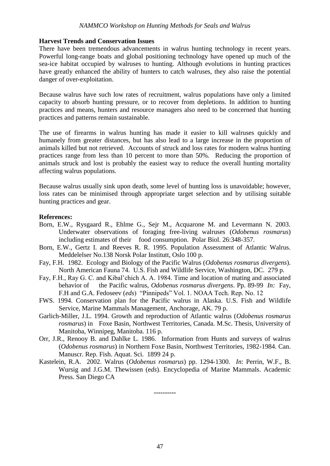#### **Harvest Trends and Conservation Issues**

There have been tremendous advancements in walrus hunting technology in recent years. Powerful long-range boats and global positioning technology have opened up much of the sea-ice habitat occupied by walruses to hunting. Although evolutions in hunting practices have greatly enhanced the ability of hunters to catch walruses, they also raise the potential danger of over-exploitation.

Because walrus have such low rates of recruitment, walrus populations have only a limited capacity to absorb hunting pressure, or to recover from depletions. In addition to hunting practices and means, hunters and resource managers also need to be concerned that hunting practices and patterns remain sustainable.

The use of firearms in walrus hunting has made it easier to kill walruses quickly and humanely from greater distances, but has also lead to a large increase in the proportion of animals killed but not retrieved. Accounts of struck and loss rates for modern walrus hunting practices range from less than 10 percent to more than 50%.Reducing the proportion of animals struck and lost is probably the easiest way to reduce the overall hunting mortality affecting walrus populations.

Because walrus usually sink upon death, some level of hunting loss is unavoidable; however, loss rates can be minimised through appropriate target selection and by utilising suitable hunting practices and gear.

#### **References:**

- Born, E.W., Rysgaard R., Ehlme G., Sejr M., Acquarone M. and Levermann N. 2003. Underwater observations of foraging free-living walruses (*Odobenus rosmarus*) including estimates of their food consumption. Polar Biol. 26:348-357.
- Born, E.W., Gertz I. and Reeves R. R. 1995. Population Assessment of Atlantic Walrus. Meddelelser No.138 Norsk Polar Institutt, Oslo 100 p.
- Fay, F.H. 1982. Ecology and Biology of the Pacific Walrus (*Odobenus rosmarus divergens*). North American Fauna 74. U.S. Fish and Wildlife Service, Washington, DC. 279 p.
- Fay, F.H., Ray G. C. and Kibal'chich A. A. 1984. Time and location of mating and associated behavior of the Pacific walrus, *Odobenus rosmarus divergens*. Pp. 89-99 *In:* Fay, F.H and G.A. Fedoseev (*eds*) "Pinnipeds" Vol. 1. NOAA Tech. Rep. No. 12
- FWS. 1994. Conservation plan for the Pacific walrus in Alaska. U.S. Fish and Wildlife Service, Marine Mammals Management, Anchorage, AK. 79 p.
- Garlich-Miller, J.L. 1994. Growth and reproduction of Atlantic walrus (*Odobenus rosmarus rosmarus*) in Foxe Basin, Northwest Territories, Canada. M.Sc. Thesis, University of Manitoba, Winnipeg, Manitoba. 116 p.
- Orr, J.R., Renooy B. and Dahlke L. 1986. Information from Hunts and surveys of walrus (*Odobenus rosmarus*) in Northern Foxe Basin, Northwest Territories, 1982-1984. Can. Manuscr. Rep. Fish. Aquat. Sci. 1899 24 p.
- Kastelein, R.A. 2002. Walrus (*Odobenus rosmarus*) pp. 1294-1300. *In*: Perrin, W.F., B. Wursig and J.G.M. Thewissen (e*ds*). Encyclopedia of Marine Mammals. Academic Press. San Diego CA

**----------**

47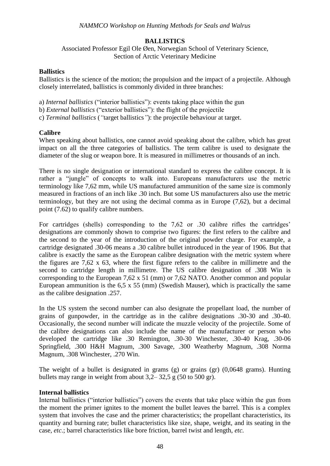## **BALLISTICS**

Associated Professor Egil Ole Øen, Norwegian School of Veterinary Science, Section of Arctic Veterinary Medicine

#### **Ballistics**

Ballistics is the science of the motion; the propulsion and the impact of a projectile. Although closely interrelated, ballistics is commonly divided in three branches:

a) *Internal ballistics* ("interior ballistics"): events taking place within the gun

- b) *External ballistics* ("exterior ballistics"): the flight of the projectile
- c) *Terminal ballistics* (*"*target ballistics*"*): the projectile behaviour at target.

## **Calibre**

When speaking about ballistics, one cannot avoid speaking about the calibre, which has great impact on all the three categories of ballistics. The term calibre is used to designate the diameter of the slug or weapon bore. It is measured in millimetres or thousands of an inch.

There is no single designation or international standard to express the calibre concept. It is rather a "jungle" of concepts to walk into. Europeans manufacturers use the metric terminology like 7,62 mm, while US manufactured ammunition of the same size is commonly measured in fractions of an inch like .30 inch. But some US manufacturers also use the metric terminology, but they are not using the decimal comma as in Europe (7,62), but a decimal point (7.62) to qualify calibre numbers.

For cartridges (shells) corresponding to the 7,62 or .30 calibre rifles the cartridges' designations are commonly shown to comprise two figures: the first refers to the calibre and the second to the year of the introduction of the original powder charge. For example, a cartridge designated .30-06 means a .30 calibre bullet introduced in the year of 1906. But that calibre is exactly the same as the European calibre designation with the metric system where the figures are 7,62 x 63, where the first figure refers to the calibre in millimetre and the second to cartridge length in millimetre. The US calibre designation of .308 Win is corresponding to the European 7,62 x 51 (mm) or 7,62 NATO. Another common and popular European ammunition is the 6,5 x 55 (mm) (Swedish Mauser), which is practically the same as the calibre designation .257.

In the US system the second number can also designate the propellant load, the number of grains of gunpowder, in the cartridge as in the calibre designations .30-30 and .30-40. Occasionally, the second number will indicate the muzzle velocity of the projectile. Some of the calibre designations can also include the name of the manufacturer or person who developed the cartridge like .30 Remington, .30-30 Winchester, .30-40 Krag, .30-06 Springfield, .300 H&H Magnum, .300 Savage, .300 Weatherby Magnum, .308 Norma Magnum, .308 Winchester, .270 Win.

The weight of a bullet is designated in grams (g) or grains (gr) (0,0648 grams). Hunting bullets may range in weight from about 3,2– 32,5 g (50 to 500 gr).

## **Internal ballistics**

Internal ballistics ("interior ballistics") covers the events that take place within the gun from the moment the primer ignites to the moment the bullet leaves the barrel. This is a complex system that involves the case and the primer characteristics; the propellant characteristics, its quantity and burning rate; bullet characteristics like size, shape, weight, and its seating in the case, *etc*.; barrel characteristics like bore friction, barrel twist and length, *etc.*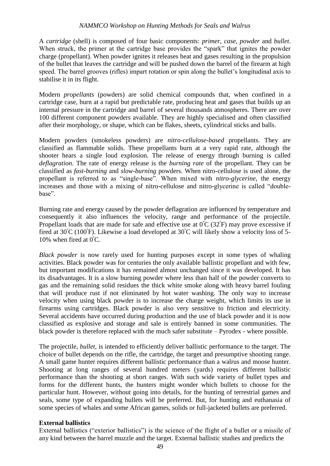A *cartridge* (shell) is composed of four basic components: *primer*, *case*, *powder* and *bullet*. When struck, the primer at the cartridge base provides the "spark" that ignites the powder charge (propellant). When powder ignites it releases heat and gases resulting in the propulsion of the bullet that leaves the cartridge and will be pushed down the barrel of the firearm at high speed. The barrel grooves (rifles) impart rotation or spin along the bullet's longitudinal axis to stabilise it in its flight.

Modern *propellants* (powders) are solid chemical compounds that, when confined in a cartridge case, burn at a rapid but predictable rate, producing heat and gases that builds up an internal pressure in the cartridge and barrel of several thousands atmospheres. There are over 100 different component powders available. They are highly specialised and often classified after their morphology, or shape, which can be flakes, sheets, cylindrical sticks and balls.

Modern powders (smokeless powders) are *nitro-cellulose-based* propellants. They are classified as flammable solids. These propellants burn at a very rapid rate, although the shooter hears a single loud explosion. The release of energy through burning is called *deflagration*. The rate of energy release is the *burning rate* of the propellant. They can be classified as *fast-burning* and *slow-burning* powders. When nitro-cellulose is used alone, the propellant is referred to as "single-base". When mixed with *nitro-glycerine*, the energy increases and those with a mixing of nitro-cellulose and nitro-glycerine is called "doublebase".

Burning rate and energy caused by the powder deflagration are influenced by temperature and consequently it also influences the velocity, range and performance of the projectile. Propellant loads that are made for safe and effective use at  $0^{\circ}C(32^{\circ}F)$  may prove excessive if fired at  $30^{\circ}$ C (100 $^{\circ}$ F). Likewise a load developed at  $30^{\circ}$ C will likely show a velocity loss of 5-10% when fired at  $0^{\circ}$ C.

*Black powder* is now rarely used for hunting purposes except in some types of whaling activities. Black powder was for centuries the only available ballistic propellant and with few, but important modifications it has remained almost unchanged since it was developed. It has its disadvantages. It is a slow burning powder where less than half of the powder converts to gas and the remaining solid residues the thick white smoke along with heavy barrel fouling that will produce rust if not eliminated by hot water washing. The only way to increase velocity when using black powder is to increase the charge weight, which limits its use in firearms using cartridges. Black powder is also very sensitive to friction and electricity. Several accidents have occurred during production and the use of black powder and it is now classified as explosive and storage and sale is entirely banned in some communities. The black powder is therefore replaced with the much safer substitute – Pyrodex - where possible.

The projectile, *bullet,* is intended to efficiently deliver ballistic performance to the target. The choice of bullet depends on the rifle, the cartridge, the target and presumptive shooting range. A small game hunter requires different ballistic performance than a walrus and moose hunter. Shooting at long ranges of several hundred meters (yards) requires different ballistic performance than the shooting at short ranges. With such wide variety of bullet types and forms for the different hunts, the hunters might wonder which bullets to choose for the particular hunt. However, without going into details, for the hunting of terrestrial games and seals, some type of expanding bullets will be preferred. But, for hunting and euthanasia of some species of whales and some African games, solids or full-jacketed bullets are preferred.

#### **External ballistics**

External ballistics ("exterior ballistics") is the science of the flight of a bullet or a missile of any kind between the barrel muzzle and the target. External ballistic studies and predicts the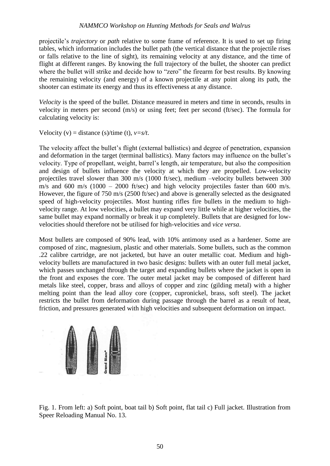projectile's *trajectory* or *path* relative to some frame of reference. It is used to set up firing tables, which information includes the bullet path (the vertical distance that the projectile rises or falls relative to the line of sight), its remaining velocity at any distance, and the time of flight at different ranges. By knowing the full trajectory of the bullet, the shooter can predict where the bullet will strike and decide how to "zero" the firearm for best results. By knowing the remaining velocity (and energy) of a known projectile at any point along its path, the shooter can estimate its energy and thus its effectiveness at any distance.

*Velocity* is the speed of the bullet. Distance measured in meters and time in seconds, results in velocity in meters per second (m/s) or using feet; feet per second (ft/sec). The formula for calculating velocity is:

Velocity (v) = distance (s)/time (t),  $v=s/t$ .

The velocity affect the bullet's flight (external ballistics) and degree of penetration, expansion and deformation in the target (terminal ballistics). Many factors may influence on the bullet's velocity. Type of propellant, weight, barrel's length, air temperature, but also the composition and design of bullets influence the velocity at which they are propelled. Low-velocity projectiles travel slower than 300 m/s (1000 ft/sec), medium –velocity bullets between 300 m/s and 600 m/s (1000 – 2000 ft/sec) and high velocity projectiles faster than 600 m/s. However, the figure of 750 m/s (2500 ft/sec) and above is generally selected as the designated speed of high-velocity projectiles. Most hunting rifles fire bullets in the medium to highvelocity range. At low velocities, a bullet may expand very little while at higher velocities, the same bullet may expand normally or break it up completely. Bullets that are designed for lowvelocities should therefore not be utilised for high-velocities and *vice versa*.

Most bullets are composed of 90% lead, with 10% antimony used as a hardener. Some are composed of zinc, magnesium, plastic and other materials. Some bullets, such as the common .22 calibre cartridge, are not jacketed, but have an outer metallic coat. Medium and highvelocity bullets are manufactured in two basic designs: bullets with an outer full metal jacket, which passes unchanged through the target and expanding bullets where the jacket is open in the front and exposes the core. The outer metal jacket may be composed of different hard metals like steel, copper, brass and alloys of copper and zinc (gilding metal) with a higher melting point than the lead alloy core (copper, cupronickel, brass, soft steel). The jacket restricts the bullet from deformation during passage through the barrel as a result of heat, friction, and pressures generated with high velocities and subsequent deformation on impact.



Fig. 1. From left: a) Soft point, boat tail b) Soft point, flat tail c) Full jacket. Illustration from Speer Reloading Manual No. 13.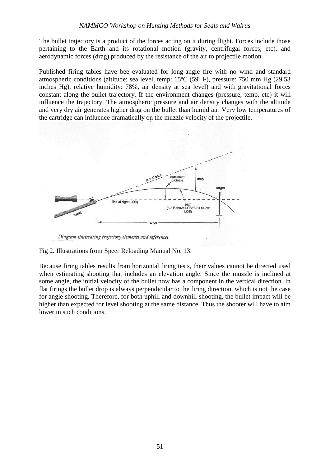The bullet trajectory is a product of the forces acting on it during flight. Forces include those pertaining to the Earth and its rotational motion (gravity, centrifugal forces, etc), and aerodynamic forces (drag) produced by the resistance of the air to projectile motion.

Published firing tables have bee evaluated for long-angle fire with no wind and standard atmospheric conditions (altitude: sea level, temp: 15ºC (59º F), pressure: 750 mm Hg (29.53 inches Hg), relative humidity: 78%, air density at sea level) and with gravitational forces constant along the bullet trajectory. If the environment changes (pressure, temp, etc) it will influence the trajectory. The atmospheric pressure and air density changes with the altitude and very dry air generates higher drag on the bullet than humid air. Very low temperatures of the cartridge can influence dramatically on the muzzle velocity of the projectile.



Diagram illustrating trajectory elements and references

Fig 2. Illustrations from Speer Reloading Manual No. 13.

Because firing tables results from horizontal firing tests, their values cannot be directed used when estimating shooting that includes an elevation angle. Since the muzzle is inclined at some angle, the initial velocity of the bullet now has a component in the vertical direction. In flat firings the bullet drop is always perpendicular to the firing direction, which is not the case for angle shooting. Therefore, for both uphill and downhill shooting, the bullet impact will be higher than expected for level shooting at the same distance. Thus the shooter will have to aim lower in such conditions.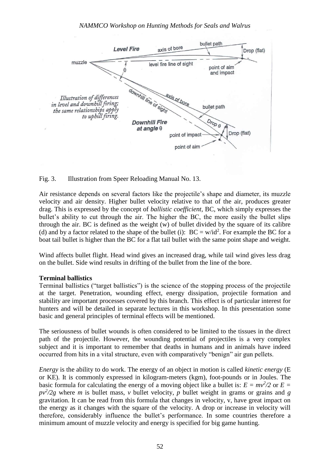

Fig. 3. Illustration from Speer Reloading Manual No. 13.

Air resistance depends on several factors like the projectile's shape and diameter, its muzzle velocity and air density. Higher bullet velocity relative to that of the air, produces greater drag. This is expressed by the concept of *ballistic coefficient,* BC, which simply expresses the bullet's ability to cut through the air. The higher the BC, the more easily the bullet slips through the air. BC is defined as the weight (w) of bullet divided by the square of its calibre (d) and by a factor related to the shape of the bullet (i):  $BC = w/id^2$ . For example the BC for a boat tail bullet is higher than the BC for a flat tail bullet with the same point shape and weight.

Wind affects bullet flight. Head wind gives an increased drag, while tail wind gives less drag on the bullet. Side wind results in drifting of the bullet from the line of the bore.

#### **Terminal ballistics**

Terminal ballistics ("target ballistics") is the science of the stopping process of the projectile at the target. Penetration, wounding effect, energy dissipation, projectile formation and stability are important processes covered by this branch. This effect is of particular interest for hunters and will be detailed in separate lectures in this workshop. In this presentation some basic and general principles of terminal effects will be mentioned.

The seriousness of bullet wounds is often considered to be limited to the tissues in the direct path of the projectile. However, the wounding potential of projectiles is a very complex subject and it is important to remember that deaths in humans and in animals have indeed occurred from hits in a vital structure, even with comparatively "benign" air gun pellets.

*Energy* is the ability to do work. The energy of an object in motion is called *kinetic energy* (E or KE). It is commonly expressed in kilogram-meters (kgm), foot-pounds or in Joules. The basic formula for calculating the energy of a moving object like a bullet is:  $E = mv^2/2$  or  $E =$  $pv^2/2g$  where *m* is bullet mass, *v* bullet velocity, *p* bullet weight in grams or grains and *g* gravitation. It can be read from this formula that changes in velocity, v, have great impact on the energy as it changes with the square of the velocity. A drop or increase in velocity will therefore, considerably influence the bullet's performance. In some countries therefore a minimum amount of muzzle velocity and energy is specified for big game hunting.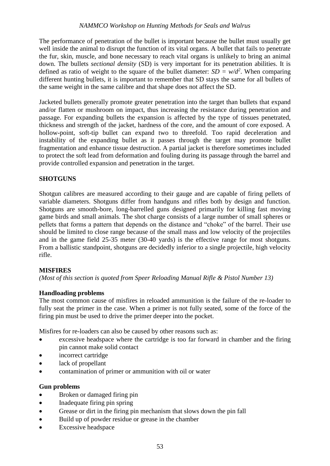The performance of penetration of the bullet is important because the bullet must usually get well inside the animal to disrupt the function of its vital organs. A bullet that fails to penetrate the fur, skin, muscle, and bone necessary to reach vital organs is unlikely to bring an animal down. The bullets *sectional density* (SD) is very important for its penetration abilities. It is defined as ratio of weight to the square of the bullet diameter:  $SD = w/d^2$ . When comparing different hunting bullets, it is important to remember that SD stays the same for all bullets of the same weight in the same calibre and that shape does not affect the SD.

Jacketed bullets generally promote greater penetration into the target than bullets that expand and/or flatten or mushroom on impact, thus increasing the resistance during penetration and passage. For expanding bullets the expansion is affected by the type of tissues penetrated, thickness and strength of the jacket, hardness of the core, and the amount of core exposed. A hollow-point, soft-tip bullet can expand two to threefold. Too rapid deceleration and instability of the expanding bullet as it passes through the target may promote bullet fragmentation and enhance tissue destruction. A partial jacket is therefore sometimes included to protect the soft lead from deformation and fouling during its passage through the barrel and provide controlled expansion and penetration in the target.

## **SHOTGUNS**

Shotgun calibres are measured according to their gauge and are capable of firing pellets of variable diameters. Shotguns differ from handguns and rifles both by design and function. Shotguns are smooth-bore, long-barrelled guns designed primarily for killing fast moving game birds and small animals. The shot charge consists of a large number of small spheres or pellets that forms a pattern that depends on the distance and "choke" of the barrel. Their use should be limited to close range because of the small mass and low velocity of the projectiles and in the game field 25-35 meter (30-40 yards) is the effective range for most shotguns. From a ballistic standpoint, shotguns are decidedly inferior to a single projectile, high velocity rifle.

## **MISFIRES**

*(Most of this section is quoted from Speer Reloading Manual Rifle & Pistol Number 13)*

## **Handloading problems**

The most common cause of misfires in reloaded ammunition is the failure of the re-loader to fully seat the primer in the case. When a primer is not fully seated, some of the force of the firing pin must be used to drive the primer deeper into the pocket.

Misfires for re-loaders can also be caused by other reasons such as:

- excessive headspace where the cartridge is too far forward in chamber and the firing pin cannot make solid contact
- incorrect cartridge
- lack of propellant
- contamination of primer or ammunition with oil or water

## **Gun problems**

- Broken or damaged firing pin
- Inadequate firing pin spring
- Grease or dirt in the firing pin mechanism that slows down the pin fall
- Build up of powder residue or grease in the chamber
- Excessive headspace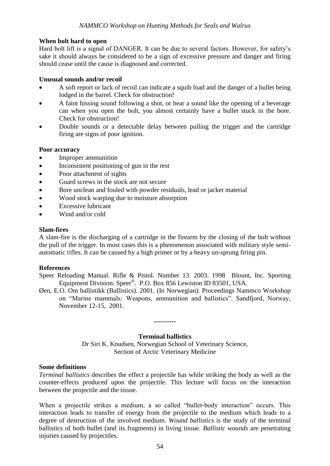## **When bolt hard to open**

Hard bolt lift is a signal of DANGER. It can be due to several factors. However, for safety's sake it should always be considered to be a sign of excessive pressure and danger and firing should cease until the cause is diagnosed and corrected.

#### **Unusual sounds and/or recoil**

- A soft report or lack of recoil can indicate a squib load and the danger of a bullet being lodged in the barrel. Check for obstruction!
- A faint hissing sound following a shot, or hear a sound like the opening of a beverage can when you open the bolt, you almost certainly have a bullet stuck in the bore. Check for obstruction!
- Double sounds or a detectable delay between pulling the trigger and the cartridge firing are signs of poor ignition.

#### **Poor accuracy**

- Improper ammunition
- Inconsistent positioning of gun in the rest
- Poor attachment of sights
- Guard screws in the stock are not secure
- Bore unclean and fouled with powder residuals, lead or jacket material
- Wood stock warping due to moisture absorption
- Excessive lubricant
- Wind and/or cold

#### **Slam-fires**

A slam-fire is the discharging of a cartridge in the firearm by the closing of the bolt without the pull of the trigger. In most cases this is a phenomenon associated with military style semiautomatic rifles. It can be caused by a high primer or by a heavy un-sprung firing pin.

#### **References**

- Speer Reloading Manual. Rifle & Pistol. Number 13. 2003. 1998 Blount, Inc. Sporting Equipment Division. Speer®. P.O. Box 856 Lewiston ID 83501, USA.
- Øen, E.O. Om ballistikk (Ballistics). 2001. (In Norwegian). Proceedings Nammco Workshop on "Marine mammals: Weapons, ammunition and ballistics". Sandfjord, Norway, November 12-15, 2001.

#### **Terminal ballistics**

**----------**

Dr Siri K. Knudsen, Norwegian School of Veterinary Science, Section of Arctic Veterinary Medicine

#### **Some definitions**

*Terminal ballistics* describes the effect a projectile has while striking the body as well as the counter-effects produced upon the projectile. This lecture will focus on the interaction between the projectile and the tissue.

When a projectile strikes a medium, a so called "bullet-body interaction" occurs. This interaction leads to transfer of energy from the projectile to the medium which leads to a degree of destruction of the involved medium. *Wound ballistics* is the study of the terminal ballistics of both bullet (and its fragments) in living tissue. *Ballistic wounds* are penetrating injuries caused by projectiles.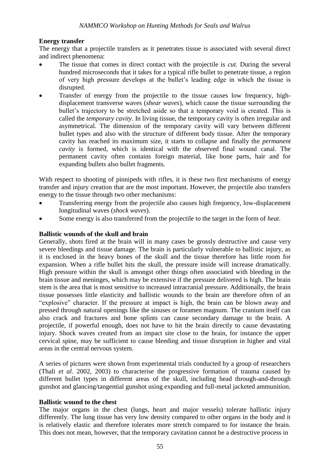## **Energy transfer**

The energy that a projectile transfers as it penetrates tissue is associated with several direct and indirect phenomena:

- The tissue that comes in direct contact with the projectile is *cut.* During the several hundred microseconds that it takes for a typical rifle bullet to penetrate tissue, a region of very high pressure develops at the bullet's leading edge in which the tissue is disrupted.
- Transfer of energy from the projectile to the tissue causes low frequency, highdisplacement transverse waves (*shear waves*), which cause the tissue surrounding the bullet's trajectory to be stretched aside so that a temporary void is created. This is called the *temporary cavity*. In living tissue, the temporary cavity is often irregular and asymmetrical. The dimension of the temporary cavity will vary between different bullet types and also with the structure of different body tissue. After the temporary cavity has reached its maximum size, it starts to collapse and finally the *permanent cavity* is formed, which is identical with the observed final wound canal. The permanent cavity often contains foreign material, like bone parts, hair and for expanding bullets also bullet fragments.

With respect to shooting of pinnipeds with rifles, it is these two first mechanisms of energy transfer and injury creation that are the most important. However, the projectile also transfers energy to the tissue through two other mechanisms:

- Transferring energy from the projectile also causes high frequency, low-displacement longitudinal waves (*shock waves*).
- Some energy is also transferred from the projectile to the target in the form of *heat*.

#### **Ballistic wounds of the skull and brain**

Generally, shots fired at the brain will in many cases be grossly destructive and cause very severe bleedings and tissue damage. The brain is particularly vulnerable to ballistic injury, as it is enclosed in the heavy bones of the skull and the tissue therefore has little room for expansion. When a rifle bullet hits the skull, the pressure inside will increase dramatically. High pressure within the skull is amongst other things often associated with bleeding in the brain tissue and meninges, which may be extensive if the pressure delivered is high. The brain stem is the area that is most sensitive to increased intracranial pressure. Additionally, the brain tissue possesses little elasticity and ballistic wounds to the brain are therefore often of an "explosive" character. If the pressure at impact is high, the brain can be blown away and pressed through natural openings like the sinuses or foramen magnum. The cranium itself can also crack and fractures and bone splints can cause secondary damage to the brain. A projectile, if powerful enough, does not have to hit the brain directly to cause devastating injury. Shock waves created from an impact site close to the brain, for instance the upper cervical spine, may be sufficient to cause bleeding and tissue disruption in higher and vital areas in the central nervous system.

A series of pictures were shown from experimental trials conducted by a group of researchers (Thali *et al*. 2002, 2003) to characterise the progressive formation of trauma caused by different bullet types in different areas of the skull, including head through-and-through gunshot and glancing/tangential gunshot using expanding and full-metal jacketed ammunition.

#### **Ballistic wound to the chest**

The major organs in the chest (lungs, heart and major vessels) tolerate ballistic injury differently. The lung tissue has very low density compared to other organs in the body and it is relatively elastic and therefore tolerates more stretch compared to for instance the brain. This does not mean, however, that the temporary cavitation cannot be a destructive process in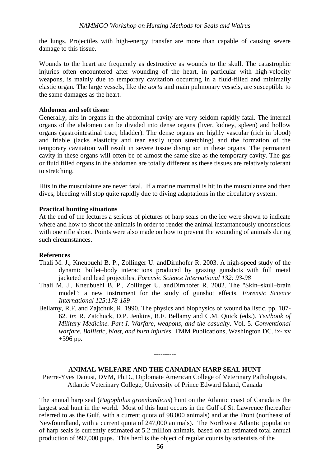the lungs. Projectiles with high-energy transfer are more than capable of causing severe damage to this tissue.

Wounds to the heart are frequently as destructive as wounds to the skull. The catastrophic injuries often encountered after wounding of the heart, in particular with high-velocity weapons, is mainly due to temporary cavitation occurring in a fluid-filled and minimally elastic organ. The large vessels, like the *aorta* and main pulmonary vessels, are susceptible to the same damages as the heart.

#### **Abdomen and soft tissue**

Generally, hits in organs in the abdominal cavity are very seldom rapidly fatal. The internal organs of the abdomen can be divided into dense organs (liver, kidney, spleen) and hollow organs (gastrointestinal tract, bladder). The dense organs are highly vascular (rich in blood) and friable (lacks elasticity and tear easily upon stretching) and the formation of the temporary cavitation will result in severe tissue disruption in these organs. The permanent cavity in these organs will often be of almost the same size as the temporary cavity. The gas or fluid filled organs in the abdomen are totally different as these tissues are relatively tolerant to stretching.

Hits in the musculature are never fatal. If a marine mammal is hit in the musculature and then dives, bleeding will stop quite rapidly due to diving adaptations in the circulatory system.

#### **Practical hunting situations**

At the end of the lectures a serious of pictures of harp seals on the ice were shown to indicate where and how to shoot the animals in order to render the animal instantaneously unconscious with one rifle shoot. Points were also made on how to prevent the wounding of animals during such circumstances.

#### **References**

- Thali M. J., Kneubuehl B. P., Zollinger U. andDirnhofer R. 2003. A high-speed study of the dynamic bullet–body interactions produced by grazing gunshots with full metal jacketed and lead projectiles. *Forensic Science International 132: 93-98*
- Thali M. J., Kneubuehl B. P., Zollinger U. andDirnhofer R. 2002. The "Skin–skull–brain model": a new instrument for the study of gunshot effects. *Forensic Science International 125:178-189*
- Bellamy, R.F. and Zajtchuk, R. 1990. The physics and biophysics of wound ballistic. pp. 107- 62. *In*: R. Zatchuck, D.P. Jenkins, R.F. Bellamy and C.M. Quick (eds.). *Textbook of Military Medicine. Part I. Warfare, weapons, and the casualty*. Vol. 5. *Conventional warfare. Ballistic, blast, and burn injuries*. TMM Publications, Washington DC. ix- xv +396 pp.

#### **ANIMAL WELFARE AND THE CANADIAN HARP SEAL HUNT**

**----------**

Pierre-Yves Daoust, DVM, Ph.D., Diplomate American College of Veterinary Pathologists, Atlantic Veterinary College, University of Prince Edward Island, Canada

The annual harp seal (*Pagophilus groenlandicus*) hunt on the Atlantic coast of Canada is the largest seal hunt in the world. Most of this hunt occurs in the Gulf of St. Lawrence (hereafter referred to as the Gulf, with a current quota of 98,000 animals) and at the Front (northeast of Newfoundland, with a current quota of 247,000 animals). The Northwest Atlantic population of harp seals is currently estimated at 5.2 million animals, based on an estimated total annual production of 997,000 pups. This herd is the object of regular counts by scientists of the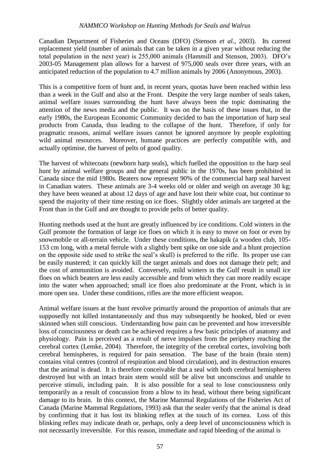Canadian Department of Fisheries and Oceans (DFO) (Stenson *et al.*, 2003). Its current replacement yield (number of animals that can be taken in a given year without reducing the total population in the next year) is 255,000 animals (Hammill and Stenson, 2003). DFO's 2003-05 Management plan allows for a harvest of 975,000 seals over three years, with an anticipated reduction of the population to 4.7 million animals by 2006 (Anonymous, 2003).

This is a competitive form of hunt and, in recent years, quotas have been reached within less than a week in the Gulf and also at the Front. Despite the very large number of seals taken, animal welfare issues surrounding the hunt have always been the topic dominating the attention of the news media and the public. It was on the basis of these issues that, in the early 1980s, the European Economic Community decided to ban the importation of harp seal products from Canada, thus leading to the collapse of the hunt. Therefore, if only for pragmatic reasons, animal welfare issues cannot be ignored anymore by people exploiting wild animal resources. Moreover, humane practices are perfectly compatible with, and actually optimise, the harvest of pelts of good quality.

The harvest of whitecoats (newborn harp seals), which fuelled the opposition to the harp seal hunt by animal welfare groups and the general public in the 1970s, has been prohibited in Canada since the mid 1980s. Beaters now represent 90% of the commercial harp seal harvest in Canadian waters. These animals are 3-4 weeks old or older and weigh on average 30 kg; they have been weaned at about 12 days of age and have lost their white coat, but continue to spend the majority of their time resting on ice floes. Slightly older animals are targeted at the Front than in the Gulf and are thought to provide pelts of better quality.

Hunting methods used at the hunt are greatly influenced by ice conditions. Cold winters in the Gulf promote the formation of large ice floes on which it is easy to move on foot or even by snowmobile or all-terrain vehicle. Under these conditions, the hakapik (a wooden club, 105- 153 cm long, with a metal ferrule with a slightly bent spike on one side and a blunt projection on the opposite side used to strike the seal's skull) is preferred to the rifle. Its proper use can be easily mastered; it can quickly kill the target animals and does not damage their pelt; and the cost of ammunition is avoided. Conversely, mild winters in the Gulf result in small ice floes on which beaters are less easily accessible and from which they can more readily escape into the water when approached; small ice floes also predominate at the Front, which is in more open sea. Under these conditions, rifles are the more efficient weapon.

Animal welfare issues at the hunt revolve primarily around the proportion of animals that are supposedly not killed instantaneously and thus may subsequently be hooked, bled or even skinned when still conscious. Understanding how pain can be prevented and how irreversible loss of consciousness or death can be achieved requires a few basic principles of anatomy and physiology. Pain is perceived as a result of nerve impulses from the periphery reaching the cerebral cortex (Lemke, 2004). Therefore, the integrity of the cerebral cortex, involving both cerebral hemispheres, is required for pain sensation. The base of the brain (brain stem) contains vital centres (control of respiration and blood circulation), and its destruction ensures that the animal is dead. It is therefore conceivable that a seal with both cerebral hemispheres destroyed but with an intact brain stem would still be alive but unconscious and unable to perceive stimuli, including pain. It is also possible for a seal to lose consciousness only temporarily as a result of concussion from a blow to its head, without there being significant damage to its brain. In this context, the Marine Mammal Regulations of the Fisheries Act of Canada (Marine Mammal Regulations, 1993) ask that the sealer verify that the animal is dead by confirming that it has lost its blinking reflex at the touch of its cornea. Loss of this blinking reflex may indicate death or, perhaps, only a deep level of unconsciousness which is not necessarily irreversible. For this reason, immediate and rapid bleeding of the animal is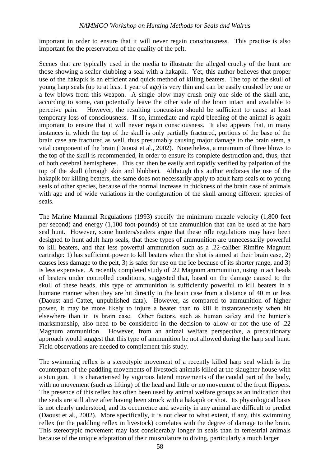important in order to ensure that it will never regain consciousness. This practise is also important for the preservation of the quality of the pelt.

Scenes that are typically used in the media to illustrate the alleged cruelty of the hunt are those showing a sealer clubbing a seal with a hakapik. Yet, this author believes that proper use of the hakapik is an efficient and quick method of killing beaters. The top of the skull of young harp seals (up to at least 1 year of age) is very thin and can be easily crushed by one or a few blows from this weapon. A single blow may crush only one side of the skull and, according to some, can potentially leave the other side of the brain intact and available to perceive pain. However, the resulting concussion should be sufficient to cause at least temporary loss of consciousness. If so, immediate and rapid bleeding of the animal is again important to ensure that it will never regain consciousness. It also appears that, in many instances in which the top of the skull is only partially fractured, portions of the base of the brain case are fractured as well, thus presumably causing major damage to the brain stem, a vital component of the brain (Daoust et al., 2002). Nonetheless, a minimum of three blows to the top of the skull is recommended, in order to ensure its complete destruction and, thus, that of both cerebral hemispheres. This can then be easily and rapidly verified by palpation of the top of the skull (through skin and blubber). Although this author endorses the use of the hakapik for killing beaters, the same does not necessarily apply to adult harp seals or to young seals of other species, because of the normal increase in thickness of the brain case of animals with age and of wide variations in the configuration of the skull among different species of seals.

The Marine Mammal Regulations (1993) specify the minimum muzzle velocity (1,800 feet per second) and energy (1,100 foot-pounds) of the ammunition that can be used at the harp seal hunt. However, some hunters/sealers argue that these rifle regulations may have been designed to hunt adult harp seals, that these types of ammunition are unnecessarily powerful to kill beaters, and that less powerful ammunition such as a .22-caliber Rimfire Magnum cartridge: 1) has sufficient power to kill beaters when the shot is aimed at their brain case, 2) causes less damage to the pelt, 3) is safer for use on the ice because of its shorter range, and 3) is less expensive. A recently completed study of .22 Magnum ammunition, using intact heads of beaters under controlled conditions, suggested that, based on the damage caused to the skull of these heads, this type of ammunition is sufficiently powerful to kill beaters in a humane manner when they are hit directly in the brain case from a distance of 40 m or less (Daoust and Cattet, unpublished data). However, as compared to ammunition of higher power, it may be more likely to injure a beater than to kill it instantaneously when hit elsewhere than in its brain case. Other factors, such as human safety and the hunter's marksmanship, also need to be considered in the decision to allow or not the use of .22 Magnum ammunition. However, from an animal welfare perspective, a precautionary approach would suggest that this type of ammunition be not allowed during the harp seal hunt. Field observations are needed to complement this study.

The swimming reflex is a stereotypic movement of a recently killed harp seal which is the counterpart of the paddling movements of livestock animals killed at the slaughter house with a stun gun. It is characterised by vigorous lateral movements of the caudal part of the body, with no movement (such as lifting) of the head and little or no movement of the front flippers. The presence of this reflex has often been used by animal welfare groups as an indication that the seals are still alive after having been struck with a hakapik or shot. Its physiological basis is not clearly understood, and its occurrence and severity in any animal are difficult to predict (Daoust et al., 2002). More specifically, it is not clear to what extent, if any, this swimming reflex (or the paddling reflex in livestock) correlates with the degree of damage to the brain. This stereotypic movement may last considerably longer in seals than in terrestrial animals because of the unique adaptation of their musculature to diving, particularly a much larger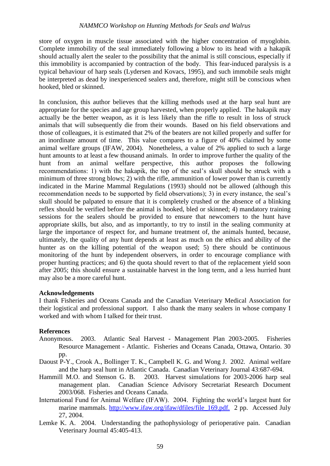store of oxygen in muscle tissue associated with the higher concentration of myoglobin. Complete immobility of the seal immediately following a blow to its head with a hakapik should actually alert the sealer to the possibility that the animal is still conscious, especially if this immobility is accompanied by contraction of the body. This fear-induced paralysis is a typical behaviour of harp seals (Lydersen and Kovacs, 1995), and such immobile seals might be interpreted as dead by inexperienced sealers and, therefore, might still be conscious when hooked, bled or skinned.

In conclusion, this author believes that the killing methods used at the harp seal hunt are appropriate for the species and age group harvested, when properly applied. The hakapik may actually be the better weapon, as it is less likely than the rifle to result in loss of struck animals that will subsequently die from their wounds. Based on his field observations and those of colleagues, it is estimated that 2% of the beaters are not killed properly and suffer for an inordinate amount of time. This value compares to a figure of 40% claimed by some animal welfare groups (IFAW, 2004). Nonetheless, a value of 2% applied to such a large hunt amounts to at least a few thousand animals. In order to improve further the quality of the hunt from an animal welfare perspective, this author proposes the following recommendations: 1) with the hakapik, the top of the seal's skull should be struck with a minimum of three strong blows; 2) with the rifle, ammunition of lower power than is currently indicated in the Marine Mammal Regulations (1993) should not be allowed (although this recommendation needs to be supported by field observations); 3) in every instance, the seal's skull should be palpated to ensure that it is completely crushed or the absence of a blinking reflex should be verified before the animal is hooked, bled or skinned; 4) mandatory training sessions for the sealers should be provided to ensure that newcomers to the hunt have appropriate skills, but also, and as importantly, to try to instil in the sealing community at large the importance of respect for, and humane treatment of, the animals hunted, because, ultimately, the quality of any hunt depends at least as much on the ethics and ability of the hunter as on the killing potential of the weapon used; 5) there should be continuous monitoring of the hunt by independent observers, in order to encourage compliance with proper hunting practices; and 6) the quota should revert to that of the replacement yield soon after 2005; this should ensure a sustainable harvest in the long term, and a less hurried hunt may also be a more careful hunt.

#### **Acknowledgements**

I thank Fisheries and Oceans Canada and the Canadian Veterinary Medical Association for their logistical and professional support. I also thank the many sealers in whose company I worked and with whom I talked for their trust.

#### **References**

- Anonymous. 2003. Atlantic Seal Harvest Management Plan 2003-2005. Fisheries Resource Management - Atlantic. Fisheries and Oceans Canada, Ottawa, Ontario. 30 pp.
- Daoust P-Y., Crook A., Bollinger T. K., Campbell K. G. and Wong J. 2002. Animal welfare and the harp seal hunt in Atlantic Canada. Canadian Veterinary Journal 43:687-694.
- Hammill M.O. and Stenson G. B. 2003. Harvest simulations for 2003-2006 harp seal management plan. Canadian Science Advisory Secretariat Research Document 2003/068. Fisheries and Oceans Canada.
- International Fund for Animal Welfare (IFAW). 2004. Fighting the world's largest hunt for marine mammals. http://www.ifaw.org/ifaw/dfiles/file\_169.pdf. 2 pp. Accessed July 27, 2004.
- Lemke K. A. 2004. Understanding the pathophysiology of perioperative pain. Canadian Veterinary Journal 45:405-413.